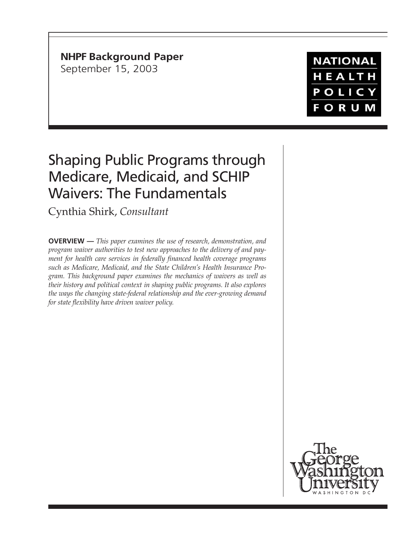**NHPF Background Paper** September 15, 2003

# **NATIONAL** HEALTH POLICY **FORUM**

# Shaping Public Programs through Medicare, Medicaid, and SCHIP Waivers: The Fundamentals

Cynthia Shirk, *Consultant*

**OVERVIEW —** *This paper examines the use of research, demonstration, and program waiver authorities to test new approaches to the delivery of and payment for health care services in federally financed health coverage programs such as Medicare, Medicaid, and the State Children's Health Insurance Program. This background paper examines the mechanics of waivers as well as their history and political context in shaping public programs. It also explores the ways the changing state-federal relationship and the ever-growing demand for state flexibility have driven waiver policy.*

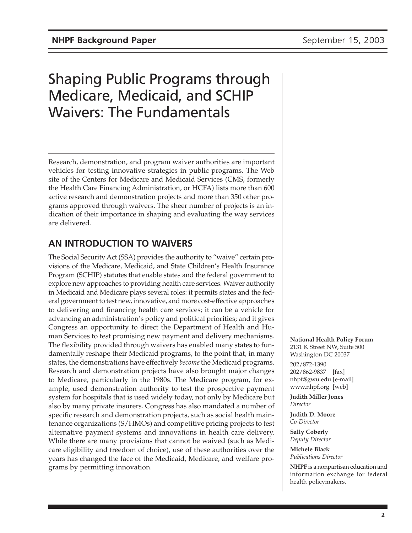# Shaping Public Programs through Medicare, Medicaid, and SCHIP Waivers: The Fundamentals

Research, demonstration, and program waiver authorities are important vehicles for testing innovative strategies in public programs. The Web site of the Centers for Medicare and Medicaid Services (CMS, formerly the Health Care Financing Administration, or HCFA) lists more than 600 active research and demonstration projects and more than 350 other programs approved through waivers. The sheer number of projects is an indication of their importance in shaping and evaluating the way services are delivered.

# **AN INTRODUCTION TO WAIVERS**

The Social Security Act (SSA) provides the authority to "waive" certain provisions of the Medicare, Medicaid, and State Children's Health Insurance Program (SCHIP) statutes that enable states and the federal government to explore new approaches to providing health care services. Waiver authority in Medicaid and Medicare plays several roles: it permits states and the federal government to test new, innovative, and more cost-effective approaches to delivering and financing health care services; it can be a vehicle for advancing an administration's policy and political priorities; and it gives Congress an opportunity to direct the Department of Health and Human Services to test promising new payment and delivery mechanisms. The flexibility provided through waivers has enabled many states to fundamentally reshape their Medicaid programs, to the point that, in many states, the demonstrations have effectively *become* the Medicaid programs. Research and demonstration projects have also brought major changes to Medicare, particularly in the 1980s. The Medicare program, for example, used demonstration authority to test the prospective payment system for hospitals that is used widely today, not only by Medicare but also by many private insurers. Congress has also mandated a number of specific research and demonstration projects, such as social health maintenance organizations (S/HMOs) and competitive pricing projects to test alternative payment systems and innovations in health care delivery. While there are many provisions that cannot be waived (such as Medicare eligibility and freedom of choice), use of these authorities over the years has changed the face of the Medicaid, Medicare, and welfare programs by permitting innovation.

#### **National Health Policy Forum**

2131 K Street NW, Suite 500 Washington DC 20037

202/872-1390 202/862-9837 [fax] nhpf@gwu.edu [e-mail] www.nhpf.org [web]

**Judith Miller Jones** *Director*

**Judith D. Moore** *Co-Director*

**Sally Coberly** *Deputy Director*

**Michele Black** *Publications Director*

**NHPF** is a nonpartisan education and information exchange for federal health policymakers.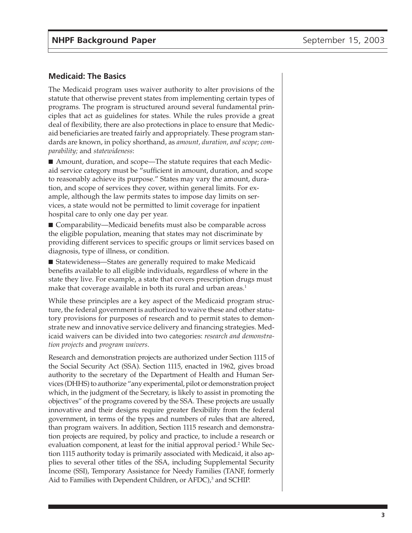#### **Medicaid: The Basics**

The Medicaid program uses waiver authority to alter provisions of the statute that otherwise prevent states from implementing certain types of programs. The program is structured around several fundamental principles that act as guidelines for states. While the rules provide a great deal of flexibility, there are also protections in place to ensure that Medicaid beneficiaries are treated fairly and appropriately. These program standards are known, in policy shorthand, as *amount, duration, and scope; comparability;* and *statewideness*:

■ Amount, duration, and scope—The statute requires that each Medicaid service category must be "sufficient in amount, duration, and scope to reasonably achieve its purpose." States may vary the amount, duration, and scope of services they cover, within general limits. For example, although the law permits states to impose day limits on services, a state would not be permitted to limit coverage for inpatient hospital care to only one day per year.

■ Comparability—Medicaid benefits must also be comparable across the eligible population, meaning that states may not discriminate by providing different services to specific groups or limit services based on diagnosis, type of illness, or condition.

■ Statewideness—States are generally required to make Medicaid benefits available to all eligible individuals, regardless of where in the state they live. For example, a state that covers prescription drugs must make that coverage available in both its rural and urban areas.<sup>1</sup>

While these principles are a key aspect of the Medicaid program structure, the federal government is authorized to waive these and other statutory provisions for purposes of research and to permit states to demonstrate new and innovative service delivery and financing strategies. Medicaid waivers can be divided into two categories: *research and demonstration projects* and *program waivers*.

Research and demonstration projects are authorized under Section 1115 of the Social Security Act (SSA). Section 1115, enacted in 1962, gives broad authority to the secretary of the Department of Health and Human Services (DHHS) to authorize "any experimental, pilot or demonstration project which, in the judgment of the Secretary, is likely to assist in promoting the objectives" of the programs covered by the SSA. These projects are usually innovative and their designs require greater flexibility from the federal government, in terms of the types and numbers of rules that are altered, than program waivers. In addition, Section 1115 research and demonstration projects are required, by policy and practice, to include a research or evaluation component, at least for the initial approval period.<sup>2</sup> While Section 1115 authority today is primarily associated with Medicaid, it also applies to several other titles of the SSA, including Supplemental Security Income (SSI), Temporary Assistance for Needy Families (TANF, formerly Aid to Families with Dependent Children, or AFDC),<sup>3</sup> and SCHIP.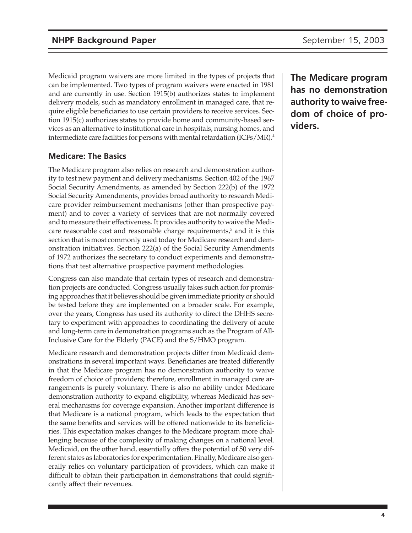Medicaid program waivers are more limited in the types of projects that can be implemented. Two types of program waivers were enacted in 1981 and are currently in use. Section 1915(b) authorizes states to implement delivery models, such as mandatory enrollment in managed care, that require eligible beneficiaries to use certain providers to receive services. Section 1915(c) authorizes states to provide home and community-based services as an alternative to institutional care in hospitals, nursing homes, and intermediate care facilities for persons with mental retardation (ICFs/MR).4

## **Medicare: The Basics**

The Medicare program also relies on research and demonstration authority to test new payment and delivery mechanisms. Section 402 of the 1967 Social Security Amendments, as amended by Section 222(b) of the 1972 Social Security Amendments, provides broad authority to research Medicare provider reimbursement mechanisms (other than prospective payment) and to cover a variety of services that are not normally covered and to measure their effectiveness. It provides authority to waive the Medicare reasonable cost and reasonable charge requirements, $5$  and it is this section that is most commonly used today for Medicare research and demonstration initiatives. Section 222(a) of the Social Security Amendments of 1972 authorizes the secretary to conduct experiments and demonstrations that test alternative prospective payment methodologies.

Congress can also mandate that certain types of research and demonstration projects are conducted. Congress usually takes such action for promising approaches that it believes should be given immediate priority or should be tested before they are implemented on a broader scale. For example, over the years, Congress has used its authority to direct the DHHS secretary to experiment with approaches to coordinating the delivery of acute and long-term care in demonstration programs such as the Program of All-Inclusive Care for the Elderly (PACE) and the S/HMO program.

Medicare research and demonstration projects differ from Medicaid demonstrations in several important ways. Beneficiaries are treated differently in that the Medicare program has no demonstration authority to waive freedom of choice of providers; therefore, enrollment in managed care arrangements is purely voluntary. There is also no ability under Medicare demonstration authority to expand eligibility, whereas Medicaid has several mechanisms for coverage expansion. Another important difference is that Medicare is a national program, which leads to the expectation that the same benefits and services will be offered nationwide to its beneficiaries. This expectation makes changes to the Medicare program more challenging because of the complexity of making changes on a national level. Medicaid, on the other hand, essentially offers the potential of 50 very different states as laboratories for experimentation. Finally, Medicare also generally relies on voluntary participation of providers, which can make it difficult to obtain their participation in demonstrations that could significantly affect their revenues.

**The Medicare program has no demonstration authority to waive freedom of choice of providers.**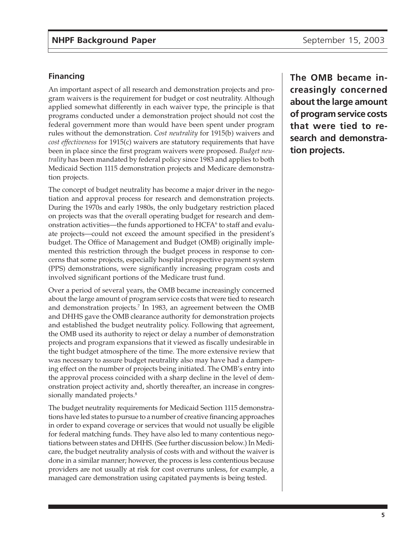#### **Financing**

An important aspect of all research and demonstration projects and program waivers is the requirement for budget or cost neutrality. Although applied somewhat differently in each waiver type, the principle is that programs conducted under a demonstration project should not cost the federal government more than would have been spent under program rules without the demonstration. *Cost neutrality* for 1915(b) waivers and *cost effectiveness* for 1915(c) waivers are statutory requirements that have been in place since the first program waivers were proposed. *Budget neutrality* has been mandated by federal policy since 1983 and applies to both Medicaid Section 1115 demonstration projects and Medicare demonstration projects.

The concept of budget neutrality has become a major driver in the negotiation and approval process for research and demonstration projects. During the 1970s and early 1980s, the only budgetary restriction placed on projects was that the overall operating budget for research and demonstration activities—the funds apportioned to  $\rm{HCPA}^{\rm 6}$  to staff and evaluate projects—could not exceed the amount specified in the president's budget. The Office of Management and Budget (OMB) originally implemented this restriction through the budget process in response to concerns that some projects, especially hospital prospective payment system (PPS) demonstrations, were significantly increasing program costs and involved significant portions of the Medicare trust fund.

Over a period of several years, the OMB became increasingly concerned about the large amount of program service costs that were tied to research and demonstration projects.7 In 1983, an agreement between the OMB and DHHS gave the OMB clearance authority for demonstration projects and established the budget neutrality policy. Following that agreement, the OMB used its authority to reject or delay a number of demonstration projects and program expansions that it viewed as fiscally undesirable in the tight budget atmosphere of the time. The more extensive review that was necessary to assure budget neutrality also may have had a dampening effect on the number of projects being initiated. The OMB's entry into the approval process coincided with a sharp decline in the level of demonstration project activity and, shortly thereafter, an increase in congressionally mandated projects.<sup>8</sup>

The budget neutrality requirements for Medicaid Section 1115 demonstrations have led states to pursue to a number of creative financing approaches in order to expand coverage or services that would not usually be eligible for federal matching funds. They have also led to many contentious negotiations between states and DHHS. (See further discussion below.) In Medicare, the budget neutrality analysis of costs with and without the waiver is done in a similar manner; however, the process is less contentious because providers are not usually at risk for cost overruns unless, for example, a managed care demonstration using capitated payments is being tested.

**The OMB became increasingly concerned about the large amount of program service costs that were tied to research and demonstration projects.**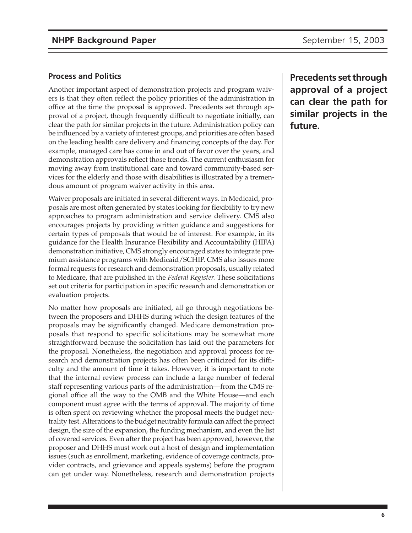#### **Process and Politics**

Another important aspect of demonstration projects and program waivers is that they often reflect the policy priorities of the administration in office at the time the proposal is approved. Precedents set through approval of a project, though frequently difficult to negotiate initially, can clear the path for similar projects in the future. Administration policy can be influenced by a variety of interest groups, and priorities are often based on the leading health care delivery and financing concepts of the day. For example, managed care has come in and out of favor over the years, and demonstration approvals reflect those trends. The current enthusiasm for moving away from institutional care and toward community-based services for the elderly and those with disabilities is illustrated by a tremendous amount of program waiver activity in this area.

Waiver proposals are initiated in several different ways. In Medicaid, proposals are most often generated by states looking for flexibility to try new approaches to program administration and service delivery. CMS also encourages projects by providing written guidance and suggestions for certain types of proposals that would be of interest. For example, in its guidance for the Health Insurance Flexibility and Accountability (HIFA) demonstration initiative, CMS strongly encouraged states to integrate premium assistance programs with Medicaid/SCHIP. CMS also issues more formal requests for research and demonstration proposals, usually related to Medicare, that are published in the *Federal Register.* These solicitations set out criteria for participation in specific research and demonstration or evaluation projects.

No matter how proposals are initiated, all go through negotiations between the proposers and DHHS during which the design features of the proposals may be significantly changed. Medicare demonstration proposals that respond to specific solicitations may be somewhat more straightforward because the solicitation has laid out the parameters for the proposal. Nonetheless, the negotiation and approval process for research and demonstration projects has often been criticized for its difficulty and the amount of time it takes. However, it is important to note that the internal review process can include a large number of federal staff representing various parts of the administration—from the CMS regional office all the way to the OMB and the White House—and each component must agree with the terms of approval. The majority of time is often spent on reviewing whether the proposal meets the budget neutrality test. Alterations to the budget neutrality formula can affect the project design, the size of the expansion, the funding mechanism, and even the list of covered services. Even after the project has been approved, however, the proposer and DHHS must work out a host of design and implementation issues (such as enrollment, marketing, evidence of coverage contracts, provider contracts, and grievance and appeals systems) before the program can get under way. Nonetheless, research and demonstration projects

**Precedents set through approval of a project can clear the path for similar projects in the future.**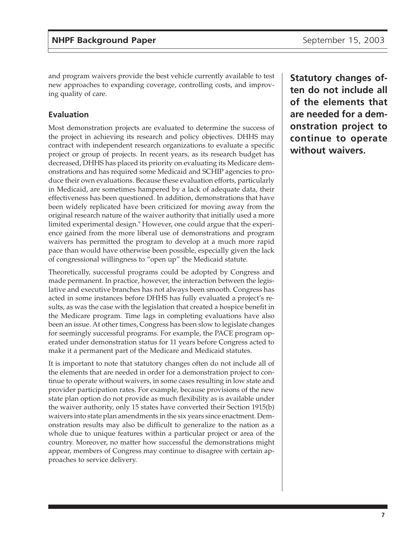and program waivers provide the best vehicle currently available to test new approaches to expanding coverage, controlling costs, and improving quality of care.

#### **Evaluation**

Most demonstration projects are evaluated to determine the success of the project in achieving its research and policy objectives. DHHS may contract with independent research organizations to evaluate a specific project or group of projects. In recent years, as its research budget has decreased, DHHS has placed its priority on evaluating its Medicare demonstrations and has required some Medicaid and SCHIP agencies to produce their own evaluations. Because these evaluation efforts, particularly in Medicaid, are sometimes hampered by a lack of adequate data, their effectiveness has been questioned. In addition, demonstrations that have been widely replicated have been criticized for moving away from the original research nature of the waiver authority that initially used a more limited experimental design.<sup>9</sup> However, one could argue that the experience gained from the more liberal use of demonstrations and program waivers has permitted the program to develop at a much more rapid pace than would have otherwise been possible, especially given the lack of congressional willingness to "open up" the Medicaid statute.

Theoretically, successful programs could be adopted by Congress and made permanent. In practice, however, the interaction between the legislative and executive branches has not always been smooth. Congress has acted in some instances before DHHS has fully evaluated a project's results, as was the case with the legislation that created a hospice benefit in the Medicare program. Time lags in completing evaluations have also been an issue. At other times, Congress has been slow to legislate changes for seemingly successful programs. For example, the PACE program operated under demonstration status for 11 years before Congress acted to make it a permanent part of the Medicare and Medicaid statutes.

It is important to note that statutory changes often do not include all of the elements that are needed in order for a demonstration project to continue to operate without waivers, in some cases resulting in low state and provider participation rates. For example, because provisions of the new state plan option do not provide as much flexibility as is available under the waiver authority, only 15 states have converted their Section 1915(b) waivers into state plan amendments in the six years since enactment. Demonstration results may also be difficult to generalize to the nation as a whole due to unique features within a particular project or area of the country. Moreover, no matter how successful the demonstrations might appear, members of Congress may continue to disagree with certain approaches to service delivery.

**Statutory changes often do not include all of the elements that are needed for a demonstration project to continue to operate without waivers.**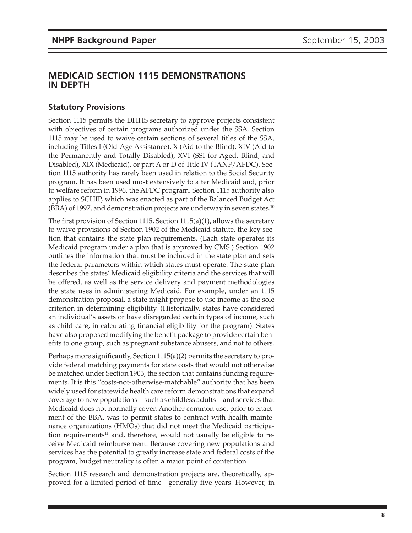# **MEDICAID SECTION 1115 DEMONSTRATIONS IN DEPTH**

# **Statutory Provisions**

Section 1115 permits the DHHS secretary to approve projects consistent with objectives of certain programs authorized under the SSA. Section 1115 may be used to waive certain sections of several titles of the SSA, including Titles I (Old-Age Assistance), X (Aid to the Blind), XIV (Aid to the Permanently and Totally Disabled), XVI (SSI for Aged, Blind, and Disabled), XIX (Medicaid), or part A or D of Title IV (TANF/AFDC). Section 1115 authority has rarely been used in relation to the Social Security program. It has been used most extensively to alter Medicaid and, prior to welfare reform in 1996, the AFDC program. Section 1115 authority also applies to SCHIP, which was enacted as part of the Balanced Budget Act  $(BBA)$  of 1997, and demonstration projects are underway in seven states.<sup>10</sup>

The first provision of Section 1115, Section 1115(a)(1), allows the secretary to waive provisions of Section 1902 of the Medicaid statute, the key section that contains the state plan requirements. (Each state operates its Medicaid program under a plan that is approved by CMS.) Section 1902 outlines the information that must be included in the state plan and sets the federal parameters within which states must operate. The state plan describes the states' Medicaid eligibility criteria and the services that will be offered, as well as the service delivery and payment methodologies the state uses in administering Medicaid. For example, under an 1115 demonstration proposal, a state might propose to use income as the sole criterion in determining eligibility. (Historically, states have considered an individual's assets or have disregarded certain types of income, such as child care, in calculating financial eligibility for the program). States have also proposed modifying the benefit package to provide certain benefits to one group, such as pregnant substance abusers, and not to others.

Perhaps more significantly, Section 1115(a)(2) permits the secretary to provide federal matching payments for state costs that would not otherwise be matched under Section 1903, the section that contains funding requirements. It is this "costs-not-otherwise-matchable" authority that has been widely used for statewide health care reform demonstrations that expand coverage to new populations—such as childless adults—and services that Medicaid does not normally cover. Another common use, prior to enactment of the BBA, was to permit states to contract with health maintenance organizations (HMOs) that did not meet the Medicaid participation requirements<sup>11</sup> and, therefore, would not usually be eligible to receive Medicaid reimbursement. Because covering new populations and services has the potential to greatly increase state and federal costs of the program, budget neutrality is often a major point of contention.

Section 1115 research and demonstration projects are, theoretically, approved for a limited period of time—generally five years. However, in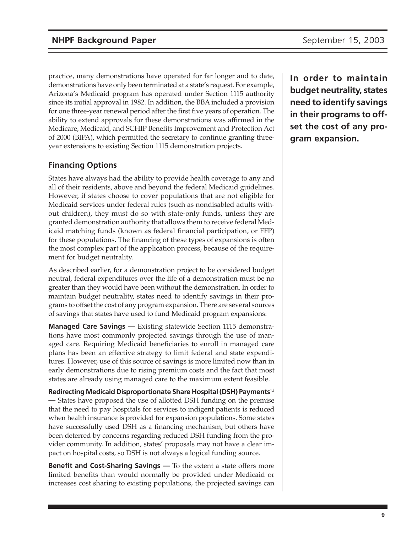practice, many demonstrations have operated for far longer and to date, demonstrations have only been terminated at a state's request. For example, Arizona's Medicaid program has operated under Section 1115 authority since its initial approval in 1982. In addition, the BBA included a provision for one three-year renewal period after the first five years of operation. The ability to extend approvals for these demonstrations was affirmed in the Medicare, Medicaid, and SCHIP Benefits Improvement and Protection Act of 2000 (BIPA), which permitted the secretary to continue granting threeyear extensions to existing Section 1115 demonstration projects.

# **Financing Options**

States have always had the ability to provide health coverage to any and all of their residents, above and beyond the federal Medicaid guidelines. However, if states choose to cover populations that are not eligible for Medicaid services under federal rules (such as nondisabled adults without children), they must do so with state-only funds, unless they are granted demonstration authority that allows them to receive federal Medicaid matching funds (known as federal financial participation, or FFP) for these populations. The financing of these types of expansions is often the most complex part of the application process, because of the requirement for budget neutrality.

As described earlier, for a demonstration project to be considered budget neutral, federal expenditures over the life of a demonstration must be no greater than they would have been without the demonstration. In order to maintain budget neutrality, states need to identify savings in their programs to offset the cost of any program expansion. There are several sources of savings that states have used to fund Medicaid program expansions:

**Managed Care Savings —** Existing statewide Section 1115 demonstrations have most commonly projected savings through the use of managed care. Requiring Medicaid beneficiaries to enroll in managed care plans has been an effective strategy to limit federal and state expenditures. However, use of this source of savings is more limited now than in early demonstrations due to rising premium costs and the fact that most states are already using managed care to the maximum extent feasible.

**Redirecting Medicaid Disproportionate Share Hospital (DSH) Payments**<sup>12</sup> **—** States have proposed the use of allotted DSH funding on the premise that the need to pay hospitals for services to indigent patients is reduced when health insurance is provided for expansion populations. Some states have successfully used DSH as a financing mechanism, but others have been deterred by concerns regarding reduced DSH funding from the provider community. In addition, states' proposals may not have a clear impact on hospital costs, so DSH is not always a logical funding source.

**Benefit and Cost-Sharing Savings —** To the extent a state offers more limited benefits than would normally be provided under Medicaid or increases cost sharing to existing populations, the projected savings can

**In order to maintain budget neutrality, states need to identify savings in their programs to offset the cost of any program expansion.**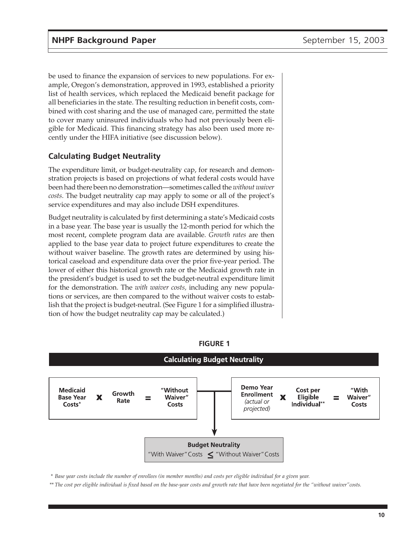be used to finance the expansion of services to new populations. For example, Oregon's demonstration, approved in 1993, established a priority list of health services, which replaced the Medicaid benefit package for all beneficiaries in the state. The resulting reduction in benefit costs, combined with cost sharing and the use of managed care, permitted the state to cover many uninsured individuals who had not previously been eligible for Medicaid. This financing strategy has also been used more recently under the HIFA initiative (see discussion below).

## **Calculating Budget Neutrality**

The expenditure limit, or budget-neutrality cap, for research and demonstration projects is based on projections of what federal costs would have been had there been no demonstration—sometimes called the *without waiver costs*. The budget neutrality cap may apply to some or all of the project's service expenditures and may also include DSH expenditures.

Budget neutrality is calculated by first determining a state's Medicaid costs in a base year. The base year is usually the 12-month period for which the most recent, complete program data are available. *Growth rates* are then applied to the base year data to project future expenditures to create the without waiver baseline. The growth rates are determined by using historical caseload and expenditure data over the prior five-year period. The lower of either this historical growth rate or the Medicaid growth rate in the president's budget is used to set the budget-neutral expenditure limit for the demonstration. The *with waiver costs,* including any new populations or services, are then compared to the without waiver costs to establish that the project is budget-neutral. (See Figure 1 for a simplified illustration of how the budget neutrality cap may be calculated.)



#### **FIGURE 1**

*\* Base year costs include the number of enrollees (in member months) and costs per eligible individual for a given year.*

*\*\* The cost per eligible individual is fixed based on the base-year costs and growth rate that have been negotiated for the "without waiver"costs.*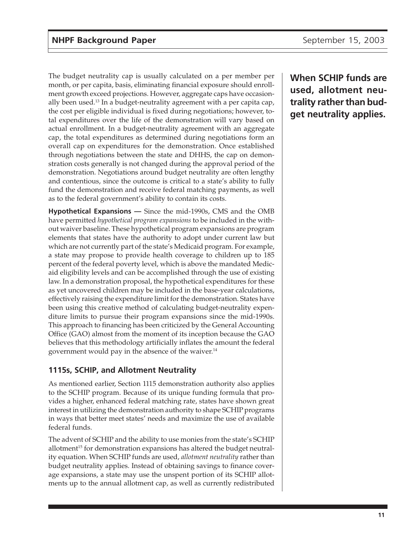The budget neutrality cap is usually calculated on a per member per month, or per capita, basis, eliminating financial exposure should enrollment growth exceed projections. However, aggregate caps have occasionally been used.13 In a budget-neutrality agreement with a per capita cap, the cost per eligible individual is fixed during negotiations; however, total expenditures over the life of the demonstration will vary based on actual enrollment. In a budget-neutrality agreement with an aggregate cap, the total expenditures as determined during negotiations form an overall cap on expenditures for the demonstration. Once established through negotiations between the state and DHHS, the cap on demonstration costs generally is not changed during the approval period of the demonstration. Negotiations around budget neutrality are often lengthy and contentious, since the outcome is critical to a state's ability to fully fund the demonstration and receive federal matching payments, as well as to the federal government's ability to contain its costs.

**Hypothetical Expansions —** Since the mid-1990s, CMS and the OMB have permitted *hypothetical program expansions* to be included in the without waiver baseline. These hypothetical program expansions are program elements that states have the authority to adopt under current law but which are not currently part of the state's Medicaid program. For example, a state may propose to provide health coverage to children up to 185 percent of the federal poverty level, which is above the mandated Medicaid eligibility levels and can be accomplished through the use of existing law. In a demonstration proposal, the hypothetical expenditures for these as yet uncovered children may be included in the base-year calculations, effectively raising the expenditure limit for the demonstration. States have been using this creative method of calculating budget-neutrality expenditure limits to pursue their program expansions since the mid-1990s. This approach to financing has been criticized by the General Accounting Office (GAO) almost from the moment of its inception because the GAO believes that this methodology artificially inflates the amount the federal government would pay in the absence of the waiver. $14$ 

# **1115s, SCHIP, and Allotment Neutrality**

As mentioned earlier, Section 1115 demonstration authority also applies to the SCHIP program. Because of its unique funding formula that provides a higher, enhanced federal matching rate, states have shown great interest in utilizing the demonstration authority to shape SCHIP programs in ways that better meet states' needs and maximize the use of available federal funds.

The advent of SCHIP and the ability to use monies from the state's SCHIP allotment<sup>15</sup> for demonstration expansions has altered the budget neutrality equation. When SCHIP funds are used, *allotment neutrality* rather than budget neutrality applies. Instead of obtaining savings to finance coverage expansions, a state may use the unspent portion of its SCHIP allotments up to the annual allotment cap, as well as currently redistributed **When SCHIP funds are used, allotment neutrality rather than budget neutrality applies.**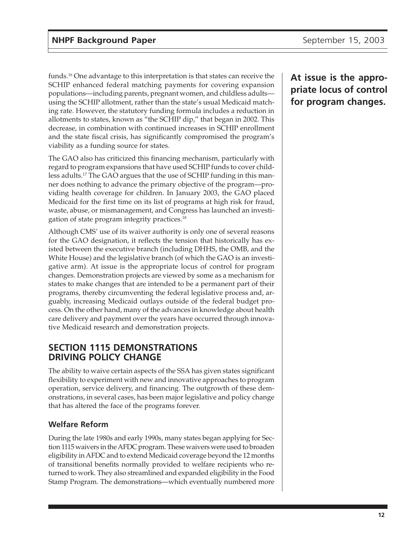funds.16 One advantage to this interpretation is that states can receive the SCHIP enhanced federal matching payments for covering expansion populations—including parents, pregnant women, and childless adults using the SCHIP allotment, rather than the state's usual Medicaid matching rate. However, the statutory funding formula includes a reduction in allotments to states, known as "the SCHIP dip," that began in 2002. This decrease, in combination with continued increases in SCHIP enrollment and the state fiscal crisis, has significantly compromised the program's viability as a funding source for states.

The GAO also has criticized this financing mechanism, particularly with regard to program expansions that have used SCHIP funds to cover childless adults.17 The GAO argues that the use of SCHIP funding in this manner does nothing to advance the primary objective of the program—providing health coverage for children. In January 2003, the GAO placed Medicaid for the first time on its list of programs at high risk for fraud, waste, abuse, or mismanagement, and Congress has launched an investigation of state program integrity practices.18

Although CMS' use of its waiver authority is only one of several reasons for the GAO designation, it reflects the tension that historically has existed between the executive branch (including DHHS, the OMB, and the White House) and the legislative branch (of which the GAO is an investigative arm). At issue is the appropriate locus of control for program changes. Demonstration projects are viewed by some as a mechanism for states to make changes that are intended to be a permanent part of their programs, thereby circumventing the federal legislative process and, arguably, increasing Medicaid outlays outside of the federal budget process. On the other hand, many of the advances in knowledge about health care delivery and payment over the years have occurred through innovative Medicaid research and demonstration projects.

# **SECTION 1115 DEMONSTRATIONS DRIVING POLICY CHANGE**

The ability to waive certain aspects of the SSA has given states significant flexibility to experiment with new and innovative approaches to program operation, service delivery, and financing. The outgrowth of these demonstrations, in several cases, has been major legislative and policy change that has altered the face of the programs forever.

# **Welfare Reform**

During the late 1980s and early 1990s, many states began applying for Section 1115 waivers in the AFDC program. These waivers were used to broaden eligibility in AFDC and to extend Medicaid coverage beyond the 12 months of transitional benefits normally provided to welfare recipients who returned to work. They also streamlined and expanded eligibility in the Food Stamp Program. The demonstrations—which eventually numbered more

# **At issue is the appropriate locus of control for program changes.**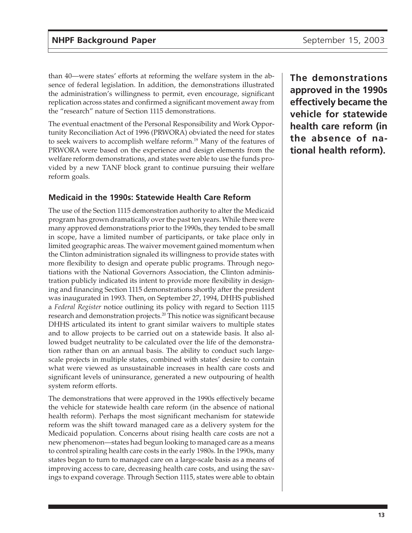than 40—were states' efforts at reforming the welfare system in the absence of federal legislation. In addition, the demonstrations illustrated the administration's willingness to permit, even encourage, significant replication across states and confirmed a significant movement away from the "research" nature of Section 1115 demonstrations.

The eventual enactment of the Personal Responsibility and Work Opportunity Reconciliation Act of 1996 (PRWORA) obviated the need for states to seek waivers to accomplish welfare reform.19 Many of the features of PRWORA were based on the experience and design elements from the welfare reform demonstrations, and states were able to use the funds provided by a new TANF block grant to continue pursuing their welfare reform goals.

## **Medicaid in the 1990s: Statewide Health Care Reform**

The use of the Section 1115 demonstration authority to alter the Medicaid program has grown dramatically over the past ten years. While there were many approved demonstrations prior to the 1990s, they tended to be small in scope, have a limited number of participants, or take place only in limited geographic areas. The waiver movement gained momentum when the Clinton administration signaled its willingness to provide states with more flexibility to design and operate public programs. Through negotiations with the National Governors Association, the Clinton administration publicly indicated its intent to provide more flexibility in designing and financing Section 1115 demonstrations shortly after the president was inaugurated in 1993. Then, on September 27, 1994, DHHS published a *Federal Register* notice outlining its policy with regard to Section 1115 research and demonstration projects.20 This notice was significant because DHHS articulated its intent to grant similar waivers to multiple states and to allow projects to be carried out on a statewide basis. It also allowed budget neutrality to be calculated over the life of the demonstration rather than on an annual basis. The ability to conduct such largescale projects in multiple states, combined with states' desire to contain what were viewed as unsustainable increases in health care costs and significant levels of uninsurance, generated a new outpouring of health system reform efforts.

The demonstrations that were approved in the 1990s effectively became the vehicle for statewide health care reform (in the absence of national health reform). Perhaps the most significant mechanism for statewide reform was the shift toward managed care as a delivery system for the Medicaid population. Concerns about rising health care costs are not a new phenomenon—states had begun looking to managed care as a means to control spiraling health care costs in the early 1980s. In the 1990s, many states began to turn to managed care on a large-scale basis as a means of improving access to care, decreasing health care costs, and using the savings to expand coverage. Through Section 1115, states were able to obtain

**The demonstrations approved in the 1990s effectively became the vehicle for statewide health care reform (in the absence of national health reform).**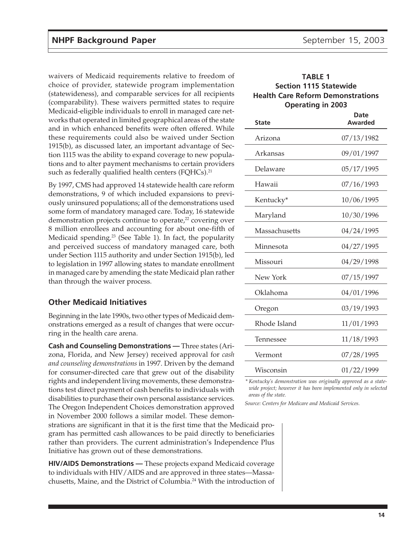waivers of Medicaid requirements relative to freedom of choice of provider, statewide program implementation (statewideness), and comparable services for all recipients (comparability). These waivers permitted states to require Medicaid-eligible individuals to enroll in managed care networks that operated in limited geographical areas of the state and in which enhanced benefits were often offered. While these requirements could also be waived under Section 1915(b), as discussed later, an important advantage of Section 1115 was the ability to expand coverage to new populations and to alter payment mechanisms to certain providers such as federally qualified health centers (FQHCs).<sup>21</sup>

By 1997, CMS had approved 14 statewide health care reform demonstrations, 9 of which included expansions to previously uninsured populations; all of the demonstrations used some form of mandatory managed care. Today, 16 statewide demonstration projects continue to operate,<sup>22</sup> covering over 8 million enrollees and accounting for about one-fifth of Medicaid spending.<sup>23</sup> (See Table 1). In fact, the popularity and perceived success of mandatory managed care, both under Section 1115 authority and under Section 1915(b), led to legislation in 1997 allowing states to mandate enrollment in managed care by amending the state Medicaid plan rather than through the waiver process.

#### **Other Medicaid Initiatives**

Beginning in the late 1990s, two other types of Medicaid demonstrations emerged as a result of changes that were occurring in the health care arena.

**Cash and Counseling Demonstrations —** Three states (Arizona, Florida, and New Jersey) received approval for *cash and counseling demonstrations* in 1997. Driven by the demand for consumer-directed care that grew out of the disability rights and independent living movements, these demonstrations test direct payment of cash benefits to individuals with disabilities to purchase their own personal assistance services. The Oregon Independent Choices demonstration approved in November 2000 follows a similar model. These demon-

strations are significant in that it is the first time that the Medicaid program has permitted cash allowances to be paid directly to beneficiaries rather than providers. The current administration's Independence Plus Initiative has grown out of these demonstrations.

**HIV/AIDS Demonstrations —** These projects expand Medicaid coverage to individuals with HIV/AIDS and are approved in three states—Massachusetts, Maine, and the District of Columbia.24 With the introduction of

#### **TABLE 1 Section 1115 Statewide Health Care Reform Demonstrations Operating in 2003**

| <b>State</b>  | Date<br>Awarded |
|---------------|-----------------|
| Arizona       | 07/13/1982      |
| Arkansas      | 09/01/1997      |
| Delaware      | 05/17/1995      |
| Hawaii        | 07/16/1993      |
| Kentucky*     | 10/06/1995      |
| Maryland      | 10/30/1996      |
| Massachusetts | 04/24/1995      |
| Minnesota     | 04/27/1995      |
| Missouri      | 04/29/1998      |
| New York      | 07/15/1997      |
| Oklahoma      | 04/01/1996      |
| Oregon        | 03/19/1993      |
| Rhode Island  | 11/01/1993      |
| Tennessee     | 11/18/1993      |
| Vermont       | 07/28/1995      |
| Wisconsin     | 01/22/1999      |

*\* Kentucky's demonstration was originally approved as a statewide project; however it has been implemented only in selected areas of the state.*

*Source: Centers for Medicare and Medicaid Services.*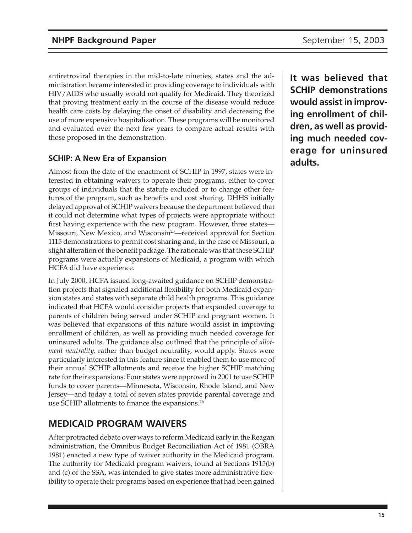antiretroviral therapies in the mid-to-late nineties, states and the administration became interested in providing coverage to individuals with HIV/AIDS who usually would not qualify for Medicaid. They theorized that proving treatment early in the course of the disease would reduce health care costs by delaying the onset of disability and decreasing the use of more expensive hospitalization. These programs will be monitored and evaluated over the next few years to compare actual results with those proposed in the demonstration.

# **SCHIP: A New Era of Expansion**

Almost from the date of the enactment of SCHIP in 1997, states were interested in obtaining waivers to operate their programs, either to cover groups of individuals that the statute excluded or to change other features of the program, such as benefits and cost sharing. DHHS initially delayed approval of SCHIP waivers because the department believed that it could not determine what types of projects were appropriate without first having experience with the new program. However, three states— Missouri, New Mexico, and Wisconsin<sup>25</sup>—received approval for Section 1115 demonstrations to permit cost sharing and, in the case of Missouri, a slight alteration of the benefit package. The rationale was that these SCHIP programs were actually expansions of Medicaid, a program with which HCFA did have experience.

In July 2000, HCFA issued long-awaited guidance on SCHIP demonstration projects that signaled additional flexibility for both Medicaid expansion states and states with separate child health programs. This guidance indicated that HCFA would consider projects that expanded coverage to parents of children being served under SCHIP and pregnant women. It was believed that expansions of this nature would assist in improving enrollment of children, as well as providing much needed coverage for uninsured adults. The guidance also outlined that the principle of *allotment neutrality,* rather than budget neutrality, would apply. States were particularly interested in this feature since it enabled them to use more of their annual SCHIP allotments and receive the higher SCHIP matching rate for their expansions. Four states were approved in 2001 to use SCHIP funds to cover parents—Minnesota, Wisconsin, Rhode Island, and New Jersey—and today a total of seven states provide parental coverage and use SCHIP allotments to finance the expansions.<sup>26</sup>

# **MEDICAID PROGRAM WAIVERS**

After protracted debate over ways to reform Medicaid early in the Reagan administration, the Omnibus Budget Reconciliation Act of 1981 (OBRA 1981) enacted a new type of waiver authority in the Medicaid program. The authority for Medicaid program waivers, found at Sections 1915(b) and (c) of the SSA, was intended to give states more administrative flexibility to operate their programs based on experience that had been gained **It was believed that SCHIP demonstrations would assist in improving enrollment of children, as well as providing much needed coverage for uninsured adults.**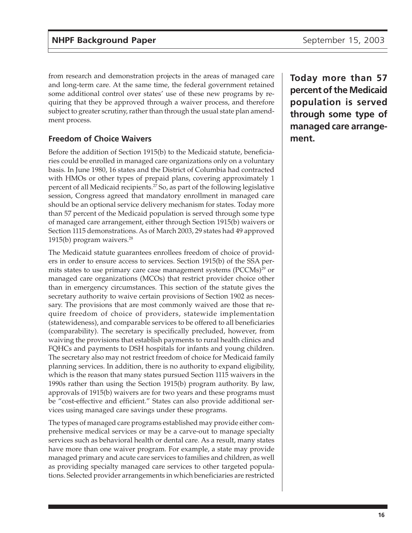from research and demonstration projects in the areas of managed care and long-term care. At the same time, the federal government retained some additional control over states' use of these new programs by requiring that they be approved through a waiver process, and therefore subject to greater scrutiny, rather than through the usual state plan amendment process.

# **Freedom of Choice Waivers**

Before the addition of Section 1915(b) to the Medicaid statute, beneficiaries could be enrolled in managed care organizations only on a voluntary basis. In June 1980, 16 states and the District of Columbia had contracted with HMOs or other types of prepaid plans, covering approximately 1 percent of all Medicaid recipients.27 So, as part of the following legislative session, Congress agreed that mandatory enrollment in managed care should be an optional service delivery mechanism for states. Today more than 57 percent of the Medicaid population is served through some type of managed care arrangement, either through Section 1915(b) waivers or Section 1115 demonstrations. As of March 2003, 29 states had 49 approved 1915(b) program waivers.<sup>28</sup>

The Medicaid statute guarantees enrollees freedom of choice of providers in order to ensure access to services. Section 1915(b) of the SSA permits states to use primary care case management systems (PCCMs)<sup>29</sup> or managed care organizations (MCOs) that restrict provider choice other than in emergency circumstances. This section of the statute gives the secretary authority to waive certain provisions of Section 1902 as necessary. The provisions that are most commonly waived are those that require freedom of choice of providers, statewide implementation (statewideness), and comparable services to be offered to all beneficiaries (comparability). The secretary is specifically precluded, however, from waiving the provisions that establish payments to rural health clinics and FQHCs and payments to DSH hospitals for infants and young children. The secretary also may not restrict freedom of choice for Medicaid family planning services. In addition, there is no authority to expand eligibility, which is the reason that many states pursued Section 1115 waivers in the 1990s rather than using the Section 1915(b) program authority. By law, approvals of 1915(b) waivers are for two years and these programs must be "cost-effective and efficient." States can also provide additional services using managed care savings under these programs.

The types of managed care programs established may provide either comprehensive medical services or may be a carve-out to manage specialty services such as behavioral health or dental care. As a result, many states have more than one waiver program. For example, a state may provide managed primary and acute care services to families and children, as well as providing specialty managed care services to other targeted populations. Selected provider arrangements in which beneficiaries are restricted **Today more than 57 percent of the Medicaid population is served through some type of managed care arrangement.**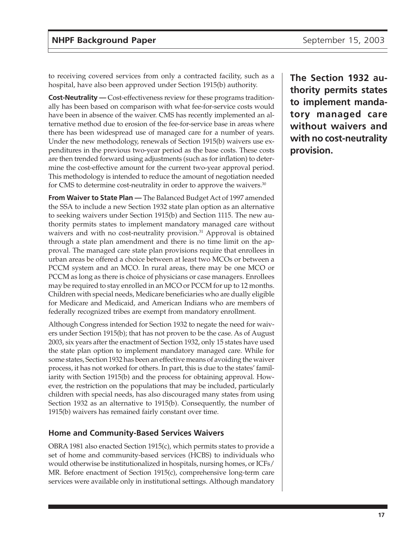to receiving covered services from only a contracted facility, such as a hospital, have also been approved under Section 1915(b) authority.

**Cost-Neutrality** — Cost-effectiveness review for these programs traditionally has been based on comparison with what fee-for-service costs would have been in absence of the waiver. CMS has recently implemented an alternative method due to erosion of the fee-for-service base in areas where there has been widespread use of managed care for a number of years. Under the new methodology, renewals of Section 1915(b) waivers use expenditures in the previous two-year period as the base costs. These costs are then trended forward using adjustments (such as for inflation) to determine the cost-effective amount for the current two-year approval period. This methodology is intended to reduce the amount of negotiation needed for CMS to determine cost-neutrality in order to approve the waivers.<sup>30</sup>

**From Waiver to State Plan —** The Balanced Budget Act of 1997 amended the SSA to include a new Section 1932 state plan option as an alternative to seeking waivers under Section 1915(b) and Section 1115. The new authority permits states to implement mandatory managed care without waivers and with no cost-neutrality provision.<sup>31</sup> Approval is obtained through a state plan amendment and there is no time limit on the approval. The managed care state plan provisions require that enrollees in urban areas be offered a choice between at least two MCOs or between a PCCM system and an MCO. In rural areas, there may be one MCO or PCCM as long as there is choice of physicians or case managers. Enrollees may be required to stay enrolled in an MCO or PCCM for up to 12 months. Children with special needs, Medicare beneficiaries who are dually eligible for Medicare and Medicaid, and American Indians who are members of federally recognized tribes are exempt from mandatory enrollment.

Although Congress intended for Section 1932 to negate the need for waivers under Section 1915(b); that has not proven to be the case. As of August 2003, six years after the enactment of Section 1932, only 15 states have used the state plan option to implement mandatory managed care. While for some states, Section 1932 has been an effective means of avoiding the waiver process, it has not worked for others. In part, this is due to the states' familiarity with Section 1915(b) and the process for obtaining approval. However, the restriction on the populations that may be included, particularly children with special needs, has also discouraged many states from using Section 1932 as an alternative to 1915(b). Consequently, the number of 1915(b) waivers has remained fairly constant over time.

#### **Home and Community-Based Services Waivers**

OBRA 1981 also enacted Section 1915(c), which permits states to provide a set of home and community-based services (HCBS) to individuals who would otherwise be institutionalized in hospitals, nursing homes, or ICFs/ MR. Before enactment of Section 1915(c), comprehensive long-term care services were available only in institutional settings. Although mandatory **The Section 1932 authority permits states to implement mandatory managed care without waivers and with no cost-neutrality provision.**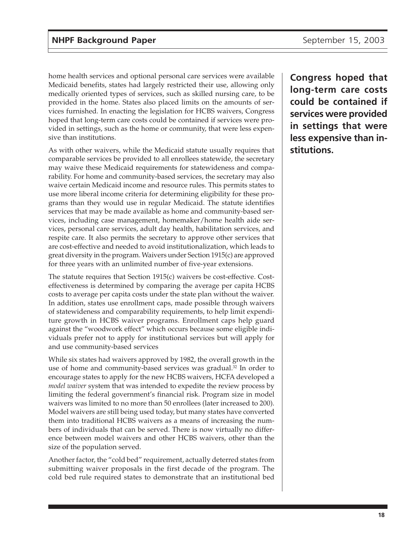home health services and optional personal care services were available Medicaid benefits, states had largely restricted their use, allowing only medically oriented types of services, such as skilled nursing care, to be provided in the home. States also placed limits on the amounts of services furnished. In enacting the legislation for HCBS waivers, Congress hoped that long-term care costs could be contained if services were provided in settings, such as the home or community, that were less expensive than institutions.

As with other waivers, while the Medicaid statute usually requires that comparable services be provided to all enrollees statewide, the secretary may waive these Medicaid requirements for statewideness and comparability. For home and community-based services, the secretary may also waive certain Medicaid income and resource rules. This permits states to use more liberal income criteria for determining eligibility for these programs than they would use in regular Medicaid. The statute identifies services that may be made available as home and community-based services, including case management, homemaker/home health aide services, personal care services, adult day health, habilitation services, and respite care. It also permits the secretary to approve other services that are cost-effective and needed to avoid institutionalization, which leads to great diversity in the program. Waivers under Section 1915(c) are approved for three years with an unlimited number of five-year extensions.

The statute requires that Section 1915(c) waivers be cost-effective. Costeffectiveness is determined by comparing the average per capita HCBS costs to average per capita costs under the state plan without the waiver. In addition, states use enrollment caps, made possible through waivers of statewideness and comparability requirements, to help limit expenditure growth in HCBS waiver programs. Enrollment caps help guard against the "woodwork effect" which occurs because some eligible individuals prefer not to apply for institutional services but will apply for and use community-based services

While six states had waivers approved by 1982, the overall growth in the use of home and community-based services was gradual.<sup>32</sup> In order to encourage states to apply for the new HCBS waivers, HCFA developed a *model waiver* system that was intended to expedite the review process by limiting the federal government's financial risk. Program size in model waivers was limited to no more than 50 enrollees (later increased to 200). Model waivers are still being used today, but many states have converted them into traditional HCBS waivers as a means of increasing the numbers of individuals that can be served. There is now virtually no difference between model waivers and other HCBS waivers, other than the size of the population served.

Another factor, the "cold bed" requirement, actually deterred states from submitting waiver proposals in the first decade of the program. The cold bed rule required states to demonstrate that an institutional bed

**Congress hoped that long-term care costs could be contained if services were provided in settings that were less expensive than institutions.**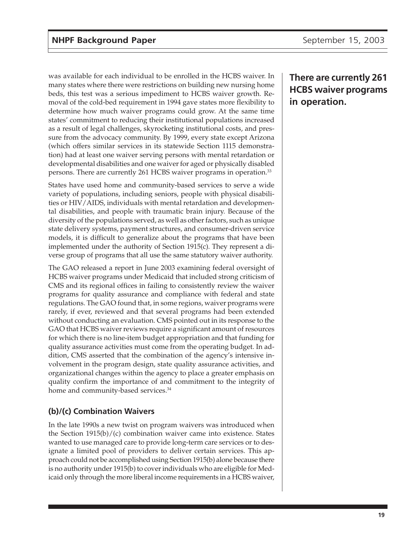was available for each individual to be enrolled in the HCBS waiver. In many states where there were restrictions on building new nursing home beds, this test was a serious impediment to HCBS waiver growth. Removal of the cold-bed requirement in 1994 gave states more flexibility to determine how much waiver programs could grow. At the same time states' commitment to reducing their institutional populations increased as a result of legal challenges, skyrocketing institutional costs, and pressure from the advocacy community. By 1999, every state except Arizona (which offers similar services in its statewide Section 1115 demonstration) had at least one waiver serving persons with mental retardation or developmental disabilities and one waiver for aged or physically disabled persons. There are currently 261 HCBS waiver programs in operation.33

States have used home and community-based services to serve a wide variety of populations, including seniors, people with physical disabilities or HIV/AIDS, individuals with mental retardation and developmental disabilities, and people with traumatic brain injury. Because of the diversity of the populations served, as well as other factors, such as unique state delivery systems, payment structures, and consumer-driven service models, it is difficult to generalize about the programs that have been implemented under the authority of Section 1915(c). They represent a diverse group of programs that all use the same statutory waiver authority.

The GAO released a report in June 2003 examining federal oversight of HCBS waiver programs under Medicaid that included strong criticism of CMS and its regional offices in failing to consistently review the waiver programs for quality assurance and compliance with federal and state regulations. The GAO found that, in some regions, waiver programs were rarely, if ever, reviewed and that several programs had been extended without conducting an evaluation. CMS pointed out in its response to the GAO that HCBS waiver reviews require a significant amount of resources for which there is no line-item budget appropriation and that funding for quality assurance activities must come from the operating budget. In addition, CMS asserted that the combination of the agency's intensive involvement in the program design, state quality assurance activities, and organizational changes within the agency to place a greater emphasis on quality confirm the importance of and commitment to the integrity of home and community-based services.<sup>34</sup>

# **(b)/(c) Combination Waivers**

In the late 1990s a new twist on program waivers was introduced when the Section 1915(b)/(c) combination waiver came into existence. States wanted to use managed care to provide long-term care services or to designate a limited pool of providers to deliver certain services. This approach could not be accomplished using Section 1915(b) alone because there is no authority under 1915(b) to cover individuals who are eligible for Medicaid only through the more liberal income requirements in a HCBS waiver,

# **There are currently 261 HCBS waiver programs in operation.**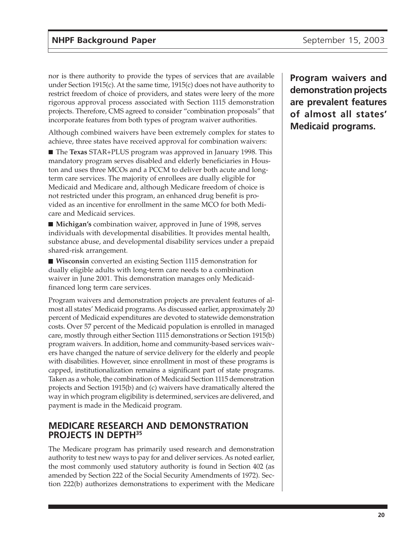nor is there authority to provide the types of services that are available under Section 1915(c). At the same time, 1915(c) does not have authority to restrict freedom of choice of providers, and states were leery of the more rigorous approval process associated with Section 1115 demonstration projects. Therefore, CMS agreed to consider "combination proposals" that incorporate features from both types of program waiver authorities.

Although combined waivers have been extremely complex for states to achieve, three states have received approval for combination waivers:

■ The **Texas** STAR+PLUS program was approved in January 1998. This mandatory program serves disabled and elderly beneficiaries in Houston and uses three MCOs and a PCCM to deliver both acute and longterm care services. The majority of enrollees are dually eligible for Medicaid and Medicare and, although Medicare freedom of choice is not restricted under this program, an enhanced drug benefit is provided as an incentive for enrollment in the same MCO for both Medicare and Medicaid services.

■ **Michigan's** combination waiver, approved in June of 1998, serves individuals with developmental disabilities. It provides mental health, substance abuse, and developmental disability services under a prepaid shared-risk arrangement.

■ **Wisconsin** converted an existing Section 1115 demonstration for dually eligible adults with long-term care needs to a combination waiver in June 2001. This demonstration manages only Medicaidfinanced long term care services.

Program waivers and demonstration projects are prevalent features of almost all states' Medicaid programs. As discussed earlier, approximately 20 percent of Medicaid expenditures are devoted to statewide demonstration costs. Over 57 percent of the Medicaid population is enrolled in managed care, mostly through either Section 1115 demonstrations or Section 1915(b) program waivers. In addition, home and community-based services waivers have changed the nature of service delivery for the elderly and people with disabilities. However, since enrollment in most of these programs is capped, institutionalization remains a significant part of state programs. Taken as a whole, the combination of Medicaid Section 1115 demonstration projects and Section 1915(b) and (c) waivers have dramatically altered the way in which program eligibility is determined, services are delivered, and payment is made in the Medicaid program.

## **MEDICARE RESEARCH AND DEMONSTRATION PROJECTS IN DEPTH35**

The Medicare program has primarily used research and demonstration authority to test new ways to pay for and deliver services. As noted earlier, the most commonly used statutory authority is found in Section 402 (as amended by Section 222 of the Social Security Amendments of 1972). Section 222(b) authorizes demonstrations to experiment with the Medicare **Program waivers and demonstration projects are prevalent features of almost all states' Medicaid programs.**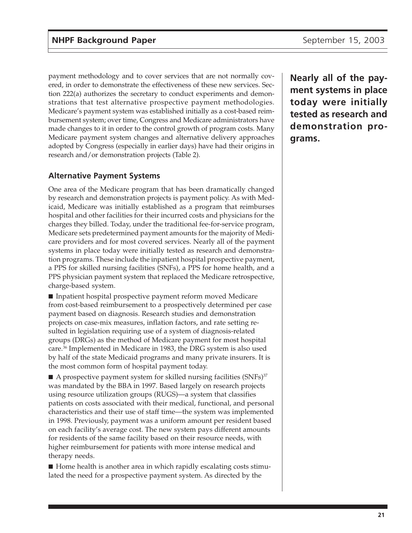payment methodology and to cover services that are not normally covered, in order to demonstrate the effectiveness of these new services. Section 222(a) authorizes the secretary to conduct experiments and demonstrations that test alternative prospective payment methodologies. Medicare's payment system was established initially as a cost-based reimbursement system; over time, Congress and Medicare administrators have made changes to it in order to the control growth of program costs. Many Medicare payment system changes and alternative delivery approaches adopted by Congress (especially in earlier days) have had their origins in research and/or demonstration projects (Table 2).

## **Alternative Payment Systems**

One area of the Medicare program that has been dramatically changed by research and demonstration projects is payment policy. As with Medicaid, Medicare was initially established as a program that reimburses hospital and other facilities for their incurred costs and physicians for the charges they billed. Today, under the traditional fee-for-service program, Medicare sets predetermined payment amounts for the majority of Medicare providers and for most covered services. Nearly all of the payment systems in place today were initially tested as research and demonstration programs. These include the inpatient hospital prospective payment, a PPS for skilled nursing facilities (SNFs), a PPS for home health, and a PPS physician payment system that replaced the Medicare retrospective, charge-based system.

■ Inpatient hospital prospective payment reform moved Medicare from cost-based reimbursement to a prospectively determined per case payment based on diagnosis. Research studies and demonstration projects on case-mix measures, inflation factors, and rate setting resulted in legislation requiring use of a system of diagnosis-related groups (DRGs) as the method of Medicare payment for most hospital care.36 Implemented in Medicare in 1983, the DRG system is also used by half of the state Medicaid programs and many private insurers. It is the most common form of hospital payment today.

 $\blacksquare$  A prospective payment system for skilled nursing facilities (SNFs)<sup>37</sup> was mandated by the BBA in 1997. Based largely on research projects using resource utilization groups (RUGS)—a system that classifies patients on costs associated with their medical, functional, and personal characteristics and their use of staff time—the system was implemented in 1998. Previously, payment was a uniform amount per resident based on each facility's average cost. The new system pays different amounts for residents of the same facility based on their resource needs, with higher reimbursement for patients with more intense medical and therapy needs.

■ Home health is another area in which rapidly escalating costs stimulated the need for a prospective payment system. As directed by the

**Nearly all of the payment systems in place today were initially tested as research and demonstration programs.**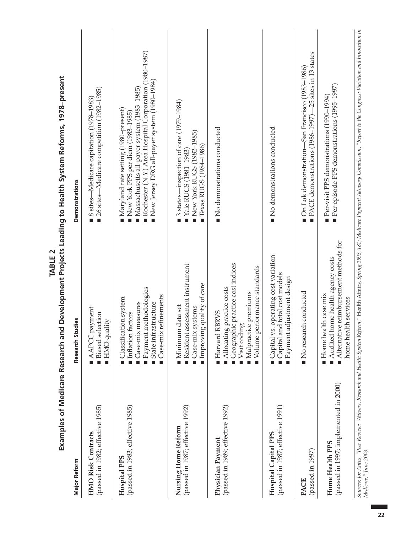|                                                                 | <b>TABLE 2</b>                                                                                                                                                        | Examples of Medicare Research and Development Projects Leading to Health System Reforms, 1978-present                                                                                                                                                          |
|-----------------------------------------------------------------|-----------------------------------------------------------------------------------------------------------------------------------------------------------------------|----------------------------------------------------------------------------------------------------------------------------------------------------------------------------------------------------------------------------------------------------------------|
| <b>Major Reform</b>                                             | Research Studies                                                                                                                                                      | Demonstrations                                                                                                                                                                                                                                                 |
| (passed in 1982; effective 1985)<br><b>HMO Risk Contracts</b>   | AAPCC payment<br>Biased selection<br><b>HMO</b> quality                                                                                                               | ■ 26 sites—Medicare competition (1982–1985)<br>8 sites—Medicare capitation (1978–1983)                                                                                                                                                                         |
| (passed in 1983; effective 1985)<br><b>Hospital PPS</b>         | methodologies<br>Case-mix refinements<br>Classification system<br>Case-mix measures<br>State infrastructure<br>Inflation factors<br>Payment<br>Ē.<br>п                | Rochester (N.Y.) Area Hospital Corporation (1980-1987)<br>$\blacksquare$ New Jersey DRG all-payer system (1980–1984)<br>$\blacksquare$ Massachusetts all-payer system (1983–1985)<br>Maryland rate setting (1980–present)<br>New York PPS per diem (1983–1985) |
| (passed in 1987; effective 1992)<br>Nursing Home Reform         | assessment instrument<br>Improving quality of care<br>Minimum data set<br>$\blacksquare$ Case-mix systems<br>Resident<br>n,                                           | 3 states-inspection of care (1979-1984)<br>New York RUGS (1982-1985)<br>Texas RUGS (1984-1986)<br>$\blacksquare$ Yale RUGS (1981-1983)                                                                                                                         |
| (passed in 1989; effective 1992)<br>Physician Payment           | Geographic practice cost indices<br>Volume performance standards<br>Allocating practice costs<br>Malpractice premiums<br><b>RBRVS</b><br>Visit coding<br>Harvard<br>п | $\blacksquare$ No demonstrations conducted                                                                                                                                                                                                                     |
| (passed in 1987; effective 1991)<br><b>Hospital Capital PPS</b> | Capital vs. operating cost variation<br>Capital and total cost models<br>adjustment design<br>Payment<br>п                                                            | $\blacksquare$ No demonstrations conducted                                                                                                                                                                                                                     |
| (passed in 1997)<br><b>PACE</b>                                 | No research conducted                                                                                                                                                 | $PACE$ demonstrations (1986-1997)—25 sites in 13 states<br>On Lok demonstration-San Francisco (1983-1986)                                                                                                                                                      |
| (passed in 1997; implemented in 2000)<br>Home Health PPS        | $\blacksquare$ Alternative reimbursement methods for<br>home health agency costs<br>Home health case mix<br>home health services<br>$\blacksquare$ Audited            | Per-episode PPS demonstrations (1995-1997)<br>Per-visit PPS demonstrations $(1990-1994)$                                                                                                                                                                       |
|                                                                 |                                                                                                                                                                       | Sources: Ioe Antos. "Peer Repien: Waiters. Research and Health Sustem Reform." Health Afairs, 3ning and their and the Congress: Variation and Importation in                                                                                                   |

*Sources: Joe Antos, "Peer Review: Waivers, Research and Health System Reform,"* Health Affairs, *Spring 1993, 181; Medicare Payment Advisory Commission, "Report to the Congress: Variation and Innovation in* ž Ĺ r, .<br>D ż ļ ζ h Sources: Joe Antos, ¨Pee<br>Medicare,″ June 2003. *Medicare," June 2003.*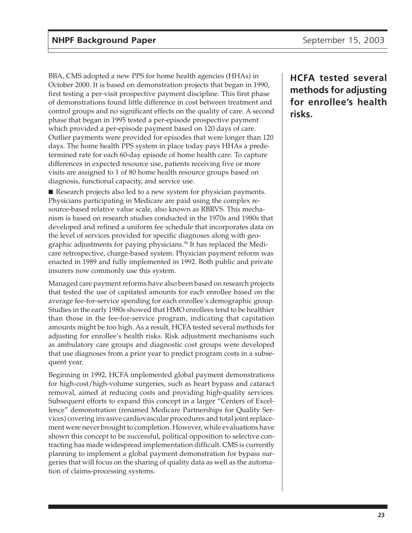BBA, CMS adopted a new PPS for home health agencies (HHAs) in October 2000. It is based on demonstration projects that began in 1990, first testing a per-visit prospective payment discipline. This first phase of demonstrations found little difference in cost between treatment and control groups and no significant effects on the quality of care. A second phase that began in 1995 tested a per-episode prospective payment which provided a per-episode payment based on 120 days of care. Outlier payments were provided for episodes that were longer than 120 days. The home health PPS system in place today pays HHAs a predetermined rate for each 60-day episode of home health care. To capture differences in expected resource use, patients receiving five or more visits are assigned to 1 of 80 home health resource groups based on diagnosis, functional capacity, and service use.

■ Research projects also led to a new system for physician payments. Physicians participating in Medicare are paid using the complex resource-based relative value scale, also known as RBRVS. This mechanism is based on research studies conducted in the 1970s and 1980s that developed and refined a uniform fee schedule that incorporates data on the level of services provided for specific diagnoses along with geographic adjustments for paying physicians.<sup>38</sup> It has replaced the Medicare retrospective, charge-based system. Physician payment reform was enacted in 1989 and fully implemented in 1992. Both public and private insurers now commonly use this system.

Managed care payment reforms have also been based on research projects that tested the use of capitated amounts for each enrollee based on the average fee-for-service spending for each enrollee's demographic group. Studies in the early 1980s showed that HMO enrollees tend to be healthier than those in the fee-for-service program, indicating that capitation amounts might be too high. As a result, HCFA tested several methods for adjusting for enrollee's health risks. Risk adjustment mechanisms such as ambulatory care groups and diagnostic cost groups were developed that use diagnoses from a prior year to predict program costs in a subsequent year.

Beginning in 1992, HCFA implemented global payment demonstrations for high-cost/high-volume surgeries, such as heart bypass and cataract removal, aimed at reducing costs and providing high-quality services. Subsequent efforts to expand this concept in a larger "Centers of Excellence" demonstration (renamed Medicare Partnerships for Quality Services) covering invasive cardiovascular procedures and total joint replacement were never brought to completion. However, while evaluations have shown this concept to be successful, political opposition to selective contracting has made widespread implementation difficult. CMS is currently planning to implement a global payment demonstration for bypass surgeries that will focus on the sharing of quality data as well as the automation of claims-processing systems.

**HCFA tested several methods for adjusting for enrollee's health risks.**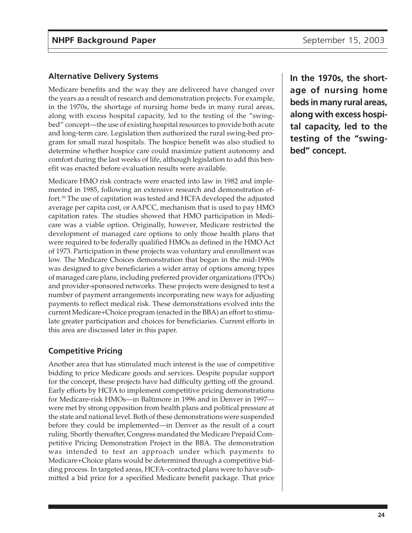## **Alternative Delivery Systems**

Medicare benefits and the way they are delivered have changed over the years as a result of research and demonstration projects. For example, in the 1970s, the shortage of nursing home beds in many rural areas, along with excess hospital capacity, led to the testing of the "swingbed" concept—the use of existing hospital resources to provide both acute and long-term care. Legislation then authorized the rural swing-bed program for small rural hospitals. The hospice benefit was also studied to determine whether hospice care could maximize patient autonomy and comfort during the last weeks of life, although legislation to add this benefit was enacted before evaluation results were available.

Medicare HMO risk contracts were enacted into law in 1982 and implemented in 1985, following an extensive research and demonstration effort.39 The use of capitation was tested and HCFA developed the adjusted average per capita cost, or AAPCC, mechanism that is used to pay HMO capitation rates. The studies showed that HMO participation in Medicare was a viable option. Originally, however, Medicare restricted the development of managed care options to only those health plans that were required to be federally qualified HMOs as defined in the HMO Act of 1973. Participation in these projects was voluntary and enrollment was low. The Medicare Choices demonstration that began in the mid-1990s was designed to give beneficiaries a wider array of options among types of managed care plans, including preferred provider organizations (PPOs) and provider-sponsored networks. These projects were designed to test a number of payment arrangements incorporating new ways for adjusting payments to reflect medical risk. These demonstrations evolved into the current Medicare+Choice program (enacted in the BBA) an effort to stimulate greater participation and choices for beneficiaries. Current efforts in this area are discussed later in this paper.

## **Competitive Pricing**

Another area that has stimulated much interest is the use of competitive bidding to price Medicare goods and services. Despite popular support for the concept, these projects have had difficulty getting off the ground. Early efforts by HCFA to implement competitive pricing demonstrations for Medicare-risk HMOs—in Baltimore in 1996 and in Denver in 1997 were met by strong opposition from health plans and political pressure at the state and national level. Both of these demonstrations were suspended before they could be implemented—in Denver as the result of a court ruling. Shortly thereafter, Congress mandated the Medicare Prepaid Competitive Pricing Demonstration Project in the BBA. The demonstration was intended to test an approach under which payments to Medicare+Choice plans would be determined through a competitive bidding process. In targeted areas, HCFA–contracted plans were to have submitted a bid price for a specified Medicare benefit package. That price

**In the 1970s, the shortage of nursing home beds in many rural areas, along with excess hospital capacity, led to the testing of the "swingbed" concept.**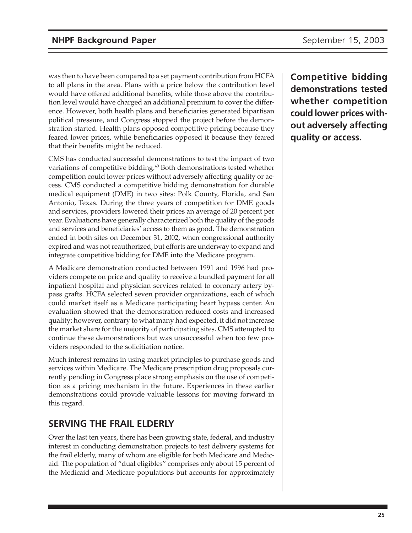was then to have been compared to a set payment contribution from HCFA to all plans in the area. Plans with a price below the contribution level would have offered additional benefits, while those above the contribution level would have charged an additional premium to cover the difference. However, both health plans and beneficiaries generated bipartisan political pressure, and Congress stopped the project before the demonstration started. Health plans opposed competitive pricing because they feared lower prices, while beneficiaries opposed it because they feared that their benefits might be reduced.

CMS has conducted successful demonstrations to test the impact of two variations of competitive bidding.<sup>40</sup> Both demonstrations tested whether competition could lower prices without adversely affecting quality or access. CMS conducted a competitive bidding demonstration for durable medical equipment (DME) in two sites: Polk County, Florida, and San Antonio, Texas. During the three years of competition for DME goods and services, providers lowered their prices an average of 20 percent per year. Evaluations have generally characterized both the quality of the goods and services and beneficiaries' access to them as good. The demonstration ended in both sites on December 31, 2002, when congressional authority expired and was not reauthorized, but efforts are underway to expand and integrate competitive bidding for DME into the Medicare program.

A Medicare demonstration conducted between 1991 and 1996 had providers compete on price and quality to receive a bundled payment for all inpatient hospital and physician services related to coronary artery bypass grafts. HCFA selected seven provider organizations, each of which could market itself as a Medicare participating heart bypass center. An evaluation showed that the demonstration reduced costs and increased quality; however, contrary to what many had expected, it did not increase the market share for the majority of participating sites. CMS attempted to continue these demonstrations but was unsuccessful when too few providers responded to the solicitiation notice.

Much interest remains in using market principles to purchase goods and services within Medicare. The Medicare prescription drug proposals currently pending in Congress place strong emphasis on the use of competition as a pricing mechanism in the future. Experiences in these earlier demonstrations could provide valuable lessons for moving forward in this regard.

# **SERVING THE FRAIL ELDERLY**

Over the last ten years, there has been growing state, federal, and industry interest in conducting demonstration projects to test delivery systems for the frail elderly, many of whom are eligible for both Medicare and Medicaid. The population of "dual eligibles" comprises only about 15 percent of the Medicaid and Medicare populations but accounts for approximately

**Competitive bidding demonstrations tested whether competition could lower prices without adversely affecting quality or access.**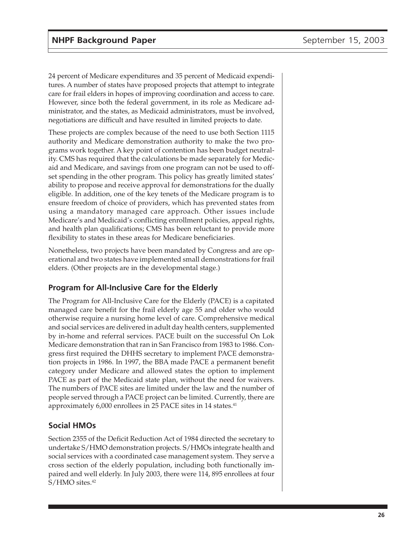24 percent of Medicare expenditures and 35 percent of Medicaid expenditures. A number of states have proposed projects that attempt to integrate care for frail elders in hopes of improving coordination and access to care. However, since both the federal government, in its role as Medicare administrator, and the states, as Medicaid administrators, must be involved, negotiations are difficult and have resulted in limited projects to date.

These projects are complex because of the need to use both Section 1115 authority and Medicare demonstration authority to make the two programs work together. A key point of contention has been budget neutrality. CMS has required that the calculations be made separately for Medicaid and Medicare, and savings from one program can not be used to offset spending in the other program. This policy has greatly limited states' ability to propose and receive approval for demonstrations for the dually eligible. In addition, one of the key tenets of the Medicare program is to ensure freedom of choice of providers, which has prevented states from using a mandatory managed care approach. Other issues include Medicare's and Medicaid's conflicting enrollment policies, appeal rights, and health plan qualifications; CMS has been reluctant to provide more flexibility to states in these areas for Medicare beneficiaries.

Nonetheless, two projects have been mandated by Congress and are operational and two states have implemented small demonstrations for frail elders. (Other projects are in the developmental stage.)

# **Program for All-Inclusive Care for the Elderly**

The Program for All-Inclusive Care for the Elderly (PACE) is a capitated managed care benefit for the frail elderly age 55 and older who would otherwise require a nursing home level of care. Comprehensive medical and social services are delivered in adult day health centers, supplemented by in-home and referral services. PACE built on the successful On Lok Medicare demonstration that ran in San Francisco from 1983 to 1986. Congress first required the DHHS secretary to implement PACE demonstration projects in 1986. In 1997, the BBA made PACE a permanent benefit category under Medicare and allowed states the option to implement PACE as part of the Medicaid state plan, without the need for waivers. The numbers of PACE sites are limited under the law and the number of people served through a PACE project can be limited. Currently, there are approximately 6,000 enrollees in 25 PACE sites in 14 states.<sup>41</sup>

# **Social HMOs**

Section 2355 of the Deficit Reduction Act of 1984 directed the secretary to undertake S/HMO demonstration projects. S/HMOs integrate health and social services with a coordinated case management system. They serve a cross section of the elderly population, including both functionally impaired and well elderly. In July 2003, there were 114, 895 enrollees at four S/HMO sites.<sup>42</sup>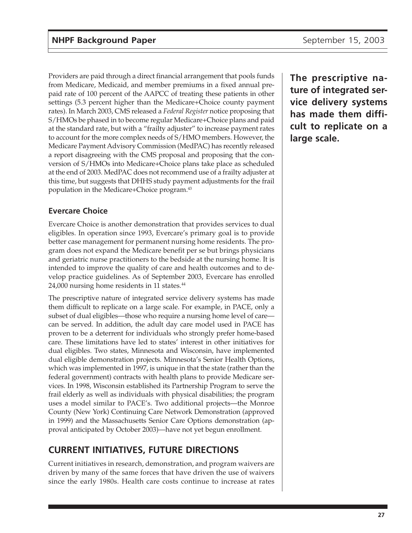Providers are paid through a direct financial arrangement that pools funds from Medicare, Medicaid, and member premiums in a fixed annual prepaid rate of 100 percent of the AAPCC of treating these patients in other settings (5.3 percent higher than the Medicare+Choice county payment rates). In March 2003, CMS released a *Federal Register* notice proposing that S/HMOs be phased in to become regular Medicare+Choice plans and paid at the standard rate, but with a "frailty adjuster" to increase payment rates to account for the more complex needs of S/HMO members. However, the Medicare Payment Advisory Commission (MedPAC) has recently released a report disagreeing with the CMS proposal and proposing that the conversion of S/HMOs into Medicare+Choice plans take place as scheduled at the end of 2003. MedPAC does not recommend use of a frailty adjuster at this time, but suggests that DHHS study payment adjustments for the frail population in the Medicare+Choice program.43

# **Evercare Choice**

Evercare Choice is another demonstration that provides services to dual eligibles. In operation since 1993, Evercare's primary goal is to provide better case management for permanent nursing home residents. The program does not expand the Medicare benefit per se but brings physicians and geriatric nurse practitioners to the bedside at the nursing home. It is intended to improve the quality of care and health outcomes and to develop practice guidelines. As of September 2003, Evercare has enrolled 24,000 nursing home residents in 11 states.<sup>44</sup>

The prescriptive nature of integrated service delivery systems has made them difficult to replicate on a large scale. For example, in PACE, only a subset of dual eligibles—those who require a nursing home level of care can be served. In addition, the adult day care model used in PACE has proven to be a deterrent for individuals who strongly prefer home-based care. These limitations have led to states' interest in other initiatives for dual eligibles. Two states, Minnesota and Wisconsin, have implemented dual eligible demonstration projects. Minnesota's Senior Health Options, which was implemented in 1997, is unique in that the state (rather than the federal government) contracts with health plans to provide Medicare services. In 1998, Wisconsin established its Partnership Program to serve the frail elderly as well as individuals with physical disabilities; the program uses a model similar to PACE's. Two additional projects—the Monroe County (New York) Continuing Care Network Demonstration (approved in 1999) and the Massachusetts Senior Care Options demonstration (approval anticipated by October 2003)—have not yet begun enrollment.

# **CURRENT INITIATIVES, FUTURE DIRECTIONS**

Current initiatives in research, demonstration, and program waivers are driven by many of the same forces that have driven the use of waivers since the early 1980s. Health care costs continue to increase at rates

**The prescriptive nature of integrated service delivery systems has made them difficult to replicate on a large scale.**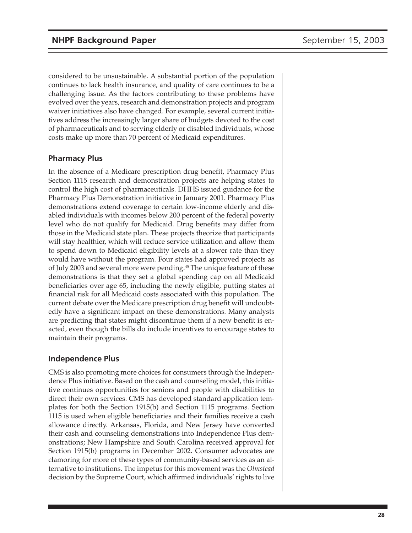considered to be unsustainable. A substantial portion of the population continues to lack health insurance, and quality of care continues to be a challenging issue. As the factors contributing to these problems have evolved over the years, research and demonstration projects and program waiver initiatives also have changed. For example, several current initiatives address the increasingly larger share of budgets devoted to the cost of pharmaceuticals and to serving elderly or disabled individuals, whose costs make up more than 70 percent of Medicaid expenditures.

#### **Pharmacy Plus**

In the absence of a Medicare prescription drug benefit, Pharmacy Plus Section 1115 research and demonstration projects are helping states to control the high cost of pharmaceuticals. DHHS issued guidance for the Pharmacy Plus Demonstration initiative in January 2001. Pharmacy Plus demonstrations extend coverage to certain low-income elderly and disabled individuals with incomes below 200 percent of the federal poverty level who do not qualify for Medicaid. Drug benefits may differ from those in the Medicaid state plan. These projects theorize that participants will stay healthier, which will reduce service utilization and allow them to spend down to Medicaid eligibility levels at a slower rate than they would have without the program. Four states had approved projects as of July 2003 and several more were pending.<sup>45</sup> The unique feature of these demonstrations is that they set a global spending cap on all Medicaid beneficiaries over age 65, including the newly eligible, putting states at financial risk for all Medicaid costs associated with this population. The current debate over the Medicare prescription drug benefit will undoubtedly have a significant impact on these demonstrations. Many analysts are predicting that states might discontinue them if a new benefit is enacted, even though the bills do include incentives to encourage states to maintain their programs.

#### **Independence Plus**

CMS is also promoting more choices for consumers through the Independence Plus initiative. Based on the cash and counseling model, this initiative continues opportunities for seniors and people with disabilities to direct their own services. CMS has developed standard application templates for both the Section 1915(b) and Section 1115 programs. Section 1115 is used when eligible beneficiaries and their families receive a cash allowance directly. Arkansas, Florida, and New Jersey have converted their cash and counseling demonstrations into Independence Plus demonstrations; New Hampshire and South Carolina received approval for Section 1915(b) programs in December 2002. Consumer advocates are clamoring for more of these types of community-based services as an alternative to institutions. The impetus for this movement was the *Olmstead* decision by the Supreme Court, which affirmed individuals' rights to live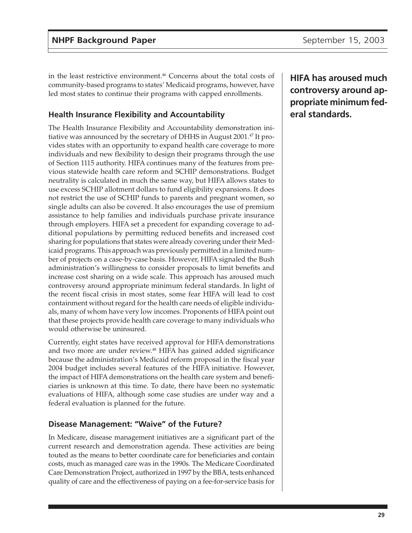in the least restrictive environment.46 Concerns about the total costs of community-based programs to states' Medicaid programs, however, have led most states to continue their programs with capped enrollments.

# **Health Insurance Flexibility and Accountability**

The Health Insurance Flexibility and Accountability demonstration initiative was announced by the secretary of DHHS in August 2001.<sup>47</sup> It provides states with an opportunity to expand health care coverage to more individuals and new flexibility to design their programs through the use of Section 1115 authority. HIFA continues many of the features from previous statewide health care reform and SCHIP demonstrations. Budget neutrality is calculated in much the same way, but HIFA allows states to use excess SCHIP allotment dollars to fund eligibility expansions. It does not restrict the use of SCHIP funds to parents and pregnant women, so single adults can also be covered. It also encourages the use of premium assistance to help families and individuals purchase private insurance through employers. HIFA set a precedent for expanding coverage to additional populations by permitting reduced benefits and increased cost sharing for populations that states were already covering under their Medicaid programs. This approach was previously permitted in a limited number of projects on a case-by-case basis. However, HIFA signaled the Bush administration's willingness to consider proposals to limit benefits and increase cost sharing on a wide scale. This approach has aroused much controversy around appropriate minimum federal standards. In light of the recent fiscal crisis in most states, some fear HIFA will lead to cost containment without regard for the health care needs of eligible individuals, many of whom have very low incomes. Proponents of HIFA point out that these projects provide health care coverage to many individuals who would otherwise be uninsured.

Currently, eight states have received approval for HIFA demonstrations and two more are under review.<sup>48</sup> HIFA has gained added significance because the administration's Medicaid reform proposal in the fiscal year 2004 budget includes several features of the HIFA initiative. However, the impact of HIFA demonstrations on the health care system and beneficiaries is unknown at this time. To date, there have been no systematic evaluations of HIFA, although some case studies are under way and a federal evaluation is planned for the future.

#### **Disease Management: "Waive" of the Future?**

In Medicare, disease management initiatives are a significant part of the current research and demonstration agenda. These activities are being touted as the means to better coordinate care for beneficiaries and contain costs, much as managed care was in the 1990s. The Medicare Coordinated Care Demonstration Project, authorized in 1997 by the BBA, tests enhanced quality of care and the effectiveness of paying on a fee-for-service basis for **HIFA has aroused much controversy around appropriate minimum federal standards.**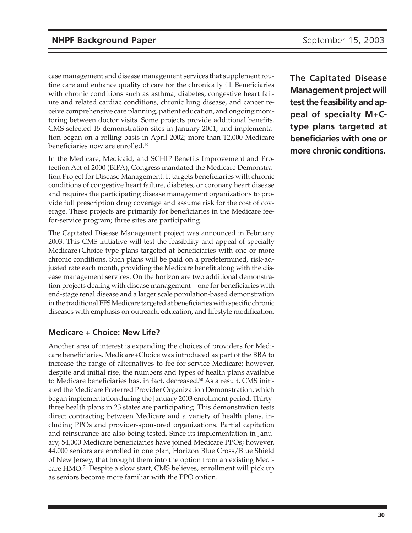case management and disease management services that supplement routine care and enhance quality of care for the chronically ill. Beneficiaries with chronic conditions such as asthma, diabetes, congestive heart failure and related cardiac conditions, chronic lung disease, and cancer receive comprehensive care planning, patient education, and ongoing monitoring between doctor visits. Some projects provide additional benefits. CMS selected 15 demonstration sites in January 2001, and implementation began on a rolling basis in April 2002; more than 12,000 Medicare beneficiaries now are enrolled.<sup>49</sup>

In the Medicare, Medicaid, and SCHIP Benefits Improvement and Protection Act of 2000 (BIPA), Congress mandated the Medicare Demonstration Project for Disease Management. It targets beneficiaries with chronic conditions of congestive heart failure, diabetes, or coronary heart disease and requires the participating disease management organizations to provide full prescription drug coverage and assume risk for the cost of coverage. These projects are primarily for beneficiaries in the Medicare feefor-service program; three sites are participating.

The Capitated Disease Management project was announced in February 2003. This CMS initiative will test the feasibility and appeal of specialty Medicare+Choice-type plans targeted at beneficiaries with one or more chronic conditions. Such plans will be paid on a predetermined, risk-adjusted rate each month, providing the Medicare benefit along with the disease management services. On the horizon are two additional demonstration projects dealing with disease management—one for beneficiaries with end-stage renal disease and a larger scale population-based demonstration in the traditional FFS Medicare targeted at beneficiaries with specific chronic diseases with emphasis on outreach, education, and lifestyle modification.

# **Medicare + Choice: New Life?**

Another area of interest is expanding the choices of providers for Medicare beneficiaries. Medicare+Choice was introduced as part of the BBA to increase the range of alternatives to fee-for-service Medicare; however, despite and initial rise, the numbers and types of health plans available to Medicare beneficiaries has, in fact, decreased.<sup>50</sup> As a result, CMS initiated the Medicare Preferred Provider Organization Demonstration, which began implementation during the January 2003 enrollment period. Thirtythree health plans in 23 states are participating. This demonstration tests direct contracting between Medicare and a variety of health plans, including PPOs and provider-sponsored organizations. Partial capitation and reinsurance are also being tested. Since its implementation in January, 54,000 Medicare beneficiaries have joined Medicare PPOs; however, 44,000 seniors are enrolled in one plan, Horizon Blue Cross/Blue Shield of New Jersey, that brought them into the option from an existing Medicare HMO.51 Despite a slow start, CMS believes, enrollment will pick up as seniors become more familiar with the PPO option.

**The Capitated Disease Management project will test the feasibility and appeal of specialty M+Ctype plans targeted at beneficiaries with one or more chronic conditions.**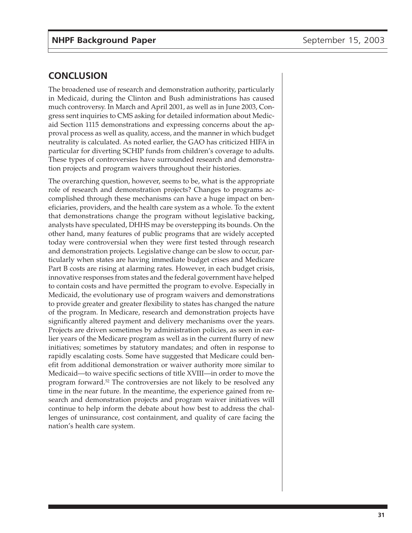# **CONCLUSION**

The broadened use of research and demonstration authority, particularly in Medicaid, during the Clinton and Bush administrations has caused much controversy. In March and April 2001, as well as in June 2003, Congress sent inquiries to CMS asking for detailed information about Medicaid Section 1115 demonstrations and expressing concerns about the approval process as well as quality, access, and the manner in which budget neutrality is calculated. As noted earlier, the GAO has criticized HIFA in particular for diverting SCHIP funds from children's coverage to adults. These types of controversies have surrounded research and demonstration projects and program waivers throughout their histories.

The overarching question, however, seems to be, what is the appropriate role of research and demonstration projects? Changes to programs accomplished through these mechanisms can have a huge impact on beneficiaries, providers, and the health care system as a whole. To the extent that demonstrations change the program without legislative backing, analysts have speculated, DHHS may be overstepping its bounds. On the other hand, many features of public programs that are widely accepted today were controversial when they were first tested through research and demonstration projects. Legislative change can be slow to occur, particularly when states are having immediate budget crises and Medicare Part B costs are rising at alarming rates. However, in each budget crisis, innovative responses from states and the federal government have helped to contain costs and have permitted the program to evolve. Especially in Medicaid, the evolutionary use of program waivers and demonstrations to provide greater and greater flexibility to states has changed the nature of the program. In Medicare, research and demonstration projects have significantly altered payment and delivery mechanisms over the years. Projects are driven sometimes by administration policies, as seen in earlier years of the Medicare program as well as in the current flurry of new initiatives; sometimes by statutory mandates; and often in response to rapidly escalating costs. Some have suggested that Medicare could benefit from additional demonstration or waiver authority more similar to Medicaid—to waive specific sections of title XVIII—in order to move the program forward.52 The controversies are not likely to be resolved any time in the near future. In the meantime, the experience gained from research and demonstration projects and program waiver initiatives will continue to help inform the debate about how best to address the challenges of uninsurance, cost containment, and quality of care facing the nation's health care system.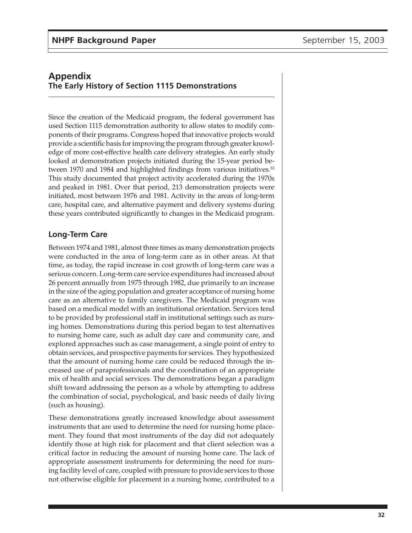# **Appendix The Early History of Section 1115 Demonstrations**

Since the creation of the Medicaid program, the federal government has used Section 1115 demonstration authority to allow states to modify components of their programs. Congress hoped that innovative projects would provide a scientific basis for improving the program through greater knowledge of more cost-effective health care delivery strategies. An early study looked at demonstration projects initiated during the 15-year period between 1970 and 1984 and highlighted findings from various initiatives.<sup>53</sup> This study documented that project activity accelerated during the 1970s and peaked in 1981. Over that period, 213 demonstration projects were initiated, most between 1976 and 1981. Activity in the areas of long-term care, hospital care, and alternative payment and delivery systems during these years contributed significantly to changes in the Medicaid program.

## **Long-Term Care**

Between 1974 and 1981, almost three times as many demonstration projects were conducted in the area of long-term care as in other areas. At that time, as today, the rapid increase in cost growth of long-term care was a serious concern. Long-term care service expenditures had increased about 26 percent annually from 1975 through 1982, due primarily to an increase in the size of the aging population and greater acceptance of nursing home care as an alternative to family caregivers. The Medicaid program was based on a medical model with an institutional orientation. Services tend to be provided by professional staff in institutional settings such as nursing homes. Demonstrations during this period began to test alternatives to nursing home care, such as adult day care and community care, and explored approaches such as case management, a single point of entry to obtain services, and prospective payments for services. They hypothesized that the amount of nursing home care could be reduced through the increased use of paraprofessionals and the coordination of an appropriate mix of health and social services. The demonstrations began a paradigm shift toward addressing the person as a whole by attempting to address the combination of social, psychological, and basic needs of daily living (such as housing).

These demonstrations greatly increased knowledge about assessment instruments that are used to determine the need for nursing home placement. They found that most instruments of the day did not adequately identify those at high risk for placement and that client selection was a critical factor in reducing the amount of nursing home care. The lack of appropriate assessment instruments for determining the need for nursing facility level of care, coupled with pressure to provide services to those not otherwise eligible for placement in a nursing home, contributed to a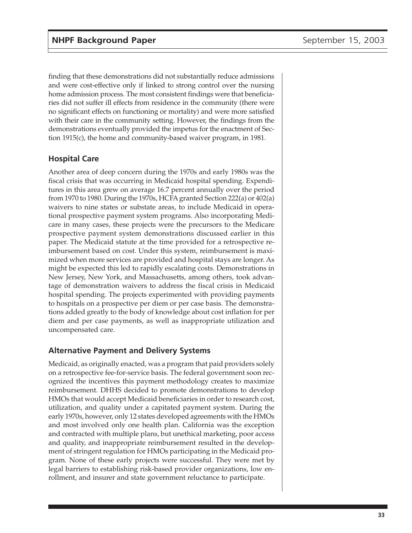finding that these demonstrations did not substantially reduce admissions and were cost-effective only if linked to strong control over the nursing home admission process. The most consistent findings were that beneficiaries did not suffer ill effects from residence in the community (there were no significant effects on functioning or mortality) and were more satisfied with their care in the community setting. However, the findings from the demonstrations eventually provided the impetus for the enactment of Section 1915(c), the home and community-based waiver program, in 1981.

#### **Hospital Care**

Another area of deep concern during the 1970s and early 1980s was the fiscal crisis that was occurring in Medicaid hospital spending. Expenditures in this area grew on average 16.7 percent annually over the period from 1970 to 1980. During the 1970s, HCFA granted Section 222(a) or 402(a) waivers to nine states or substate areas, to include Medicaid in operational prospective payment system programs. Also incorporating Medicare in many cases, these projects were the precursors to the Medicare prospective payment system demonstrations discussed earlier in this paper. The Medicaid statute at the time provided for a retrospective reimbursement based on cost. Under this system, reimbursement is maximized when more services are provided and hospital stays are longer. As might be expected this led to rapidly escalating costs. Demonstrations in New Jersey, New York, and Massachusetts, among others, took advantage of demonstration waivers to address the fiscal crisis in Medicaid hospital spending. The projects experimented with providing payments to hospitals on a prospective per diem or per case basis. The demonstrations added greatly to the body of knowledge about cost inflation for per diem and per case payments, as well as inappropriate utilization and uncompensated care.

#### **Alternative Payment and Delivery Systems**

Medicaid, as originally enacted, was a program that paid providers solely on a retrospective fee-for-service basis. The federal government soon recognized the incentives this payment methodology creates to maximize reimbursement. DHHS decided to promote demonstrations to develop HMOs that would accept Medicaid beneficiaries in order to research cost, utilization, and quality under a capitated payment system. During the early 1970s, however, only 12 states developed agreements with the HMOs and most involved only one health plan. California was the exception and contracted with multiple plans, but unethical marketing, poor access and quality, and inappropriate reimbursement resulted in the development of stringent regulation for HMOs participating in the Medicaid program. None of these early projects were successful. They were met by legal barriers to establishing risk-based provider organizations, low enrollment, and insurer and state government reluctance to participate.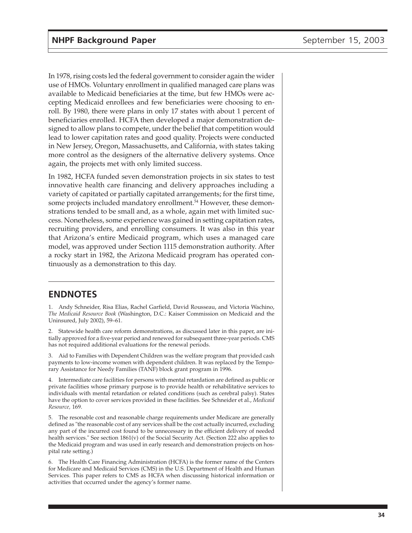In 1978, rising costs led the federal government to consider again the wider use of HMOs. Voluntary enrollment in qualified managed care plans was available to Medicaid beneficiaries at the time, but few HMOs were accepting Medicaid enrollees and few beneficiaries were choosing to enroll. By 1980, there were plans in only 17 states with about 1 percent of beneficiaries enrolled. HCFA then developed a major demonstration designed to allow plans to compete, under the belief that competition would lead to lower capitation rates and good quality. Projects were conducted in New Jersey, Oregon, Massachusetts, and California, with states taking more control as the designers of the alternative delivery systems. Once again, the projects met with only limited success.

In 1982, HCFA funded seven demonstration projects in six states to test innovative health care financing and delivery approaches including a variety of capitated or partially capitated arrangements; for the first time, some projects included mandatory enrollment.<sup>54</sup> However, these demonstrations tended to be small and, as a whole, again met with limited success. Nonetheless, some experience was gained in setting capitation rates, recruiting providers, and enrolling consumers. It was also in this year that Arizona's entire Medicaid program, which uses a managed care model, was approved under Section 1115 demonstration authority. After a rocky start in 1982, the Arizona Medicaid program has operated continuously as a demonstration to this day.

## **ENDNOTES**

1. Andy Schneider, Risa Elias, Rachel Garfield, David Rousseau, and Victoria Wachino, *The Medicaid Resource Book* (Washington, D.C.: Kaiser Commission on Medicaid and the Uninsured, July 2002), 59–61.

2. Statewide health care reform demonstrations, as discussed later in this paper, are initially approved for a five-year period and renewed for subsequent three-year periods. CMS has not required additional evaluations for the renewal periods.

3. Aid to Families with Dependent Children was the welfare program that provided cash payments to low-income women with dependent children. It was replaced by the Temporary Assistance for Needy Families (TANF) block grant program in 1996.

4. Intermediate care facilities for persons with mental retardation are defined as public or private facilities whose primary purpose is to provide health or rehabilitative services to individuals with mental retardation or related conditions (such as cerebral palsy). States have the option to cover services provided in these facilities. See Schneider et al., *Medicaid Resource,* 169.

5. The resonable cost and reasonable charge requirements under Medicare are generally defined as "the reasonable cost of any services shall be the cost actually incurred, excluding any part of the incurred cost found to be unnecessary in the efficient delivery of needed health services." See section 1861(v) of the Social Security Act. (Section 222 also applies to the Medicaid program and was used in early research and demonstration projects on hospital rate setting.)

6. The Health Care Financing Administration (HCFA) is the former name of the Centers for Medicare and Medicaid Services (CMS) in the U.S. Department of Health and Human Services. This paper refers to CMS as HCFA when discussing historical information or activities that occurred under the agency's former name.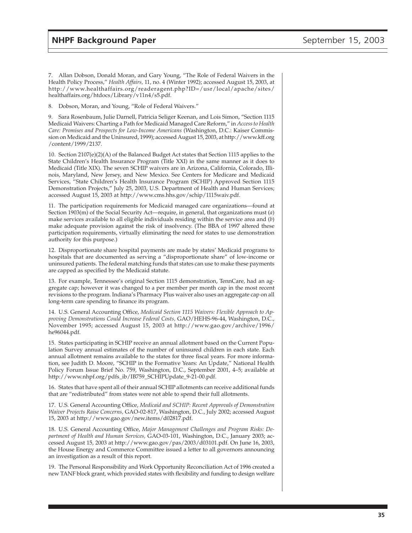7. Allan Dobson, Donald Moran, and Gary Young, "The Role of Federal Waivers in the Health Policy Process," *Health Affairs,* 11, no. 4 (Winter 1992); accessed August 15, 2003, at http://www.healthaffairs.org/readeragent.php?ID=/usr/local/apache/sites/ healthaffairs.org/htdocs/Library/v11n4/s5.pdf.

8. Dobson, Moran, and Young, "Role of Federal Waivers."

9. Sara Rosenbaum, Julie Darnell, Patricia Seliger Keenan, and Lois Simon, "Section 1115 Medicaid Waivers: Charting a Path for Medicaid Managed Care Reform," in *Access to Health Care: Promises and Prospects for Low-Income Americans* (Washington, D.C.: Kaiser Commission on Medicaid and the Uninsured, 1999); accessed August 15, 2003, at http://www.kff.org /content/1999/2137.

10. Section 2107(e)(2)(A) of the Balanced Budget Act states that Section 1115 applies to the State Children's Health Insurance Program (Title XXI) in the same manner as it does to Medicaid (Title XIX). The seven SCHIP waivers are in Arizona, California, Colorado, Illinois, Maryland, New Jersey, and New Mexico. See Centers for Medicare and Medicaid Services, "State Children's Health Insurance Program (SCHIP) Approved Section 1115 Demonstration Projects," July 25, 2003, U.S. Department of Health and Human Services; accessed August 15, 2003 at http://www.cms.hhs.gov/schip/1115waiv.pdf.

11. The participation requirements for Medicaid managed care organizations—found at Section 1903(m) of the Social Security Act—require, in general, that organizations must (*a*) make services available to all eligible individuals residing within the service area and (*b*) make adequate provision against the risk of insolvency. (The BBA of 1997 altered these participation requirements, virtually eliminating the need for states to use demonstration authority for this purpose.)

12. Disproportionate share hospital payments are made by states' Medicaid programs to hospitals that are documented as serving a "disproportionate share" of low-income or uninsured patients. The federal matching funds that states can use to make these payments are capped as specified by the Medicaid statute.

13. For example, Tennessee's original Section 1115 demonstration, TennCare, had an aggregate cap; however it was changed to a per member per month cap in the most recent revisions to the program. Indiana's Pharmacy Plus waiver also uses an aggregate cap on all long-term care spending to finance its program.

14. U.S. General Accounting Office, *Medicaid Section 1115 Waivers: Flexible Approach to Approving Demonstrations Could Increase Federal Costs,* GAO/HEHS-96-44, Washington, D.C., November 1995; accessed August 15, 2003 at http://www.gao.gov/archive/1996/ he96044.pdf.

15. States participating in SCHIP receive an annual allotment based on the Current Population Survey annual estimates of the number of uninsured children in each state. Each annual allotment remains available to the states for three fiscal years. For more information, see Judith D. Moore, "SCHIP in the Formative Years: An Update," National Health Policy Forum Issue Brief No. 759, Washington, D.C., September 2001, 4–5; available at http://www.nhpf.org/pdfs\_ib/IB759\_SCHIPUpdate\_9-21-00.pdf.

16. States that have spent all of their annual SCHIP allotments can receive additional funds that are "redistributed" from states were not able to spend their full allotments.

17. U.S. General Accounting Office, *Medicaid and SCHIP: Recent Approvals of Demonstration Waiver Projects Raise Concerns,* GAO-02-817, Washington, D.C., July 2002; accessed August 15, 2003 at http://www.gao.gov/new.items/d02817.pdf.

18. U.S. General Accounting Office, *Major Management Challenges and Program Risks: Department of Health and Human Services,* GAO-03-101, Washington, D.C., January 2003; accessed August 15, 2003 at http://www.gao.gov/pas/2003/d03101.pdf. On June 16, 2003, the House Energy and Commerce Committee issued a letter to all governors announcing an investigation as a result of this report.

19. The Personal Responsibility and Work Opportunity Reconciliation Act of 1996 created a new TANF block grant, which provided states with flexibility and funding to design welfare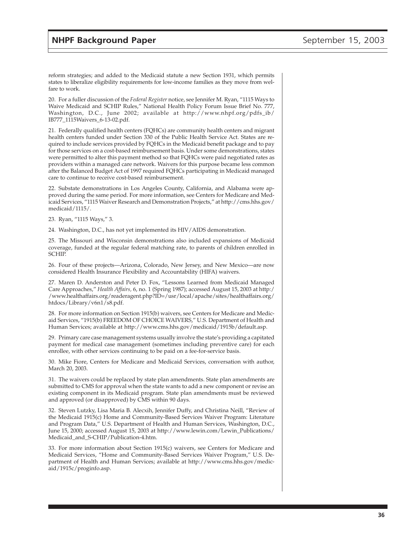reform strategies; and added to the Medicaid statute a new Section 1931, which permits states to liberalize eligibility requirements for low-income families as they move from welfare to work.

20. For a fuller discussion of the *Federal Register* notice, see Jennifer M. Ryan, "1115 Ways to Waive Medicaid and SCHIP Rules," National Health Policy Forum Issue Brief No. 777, Washington, D.C., June 2002; available at http://www.nhpf.org/pdfs\_ib/ IB777\_1115Waivers\_6-13-02.pdf.

21. Federally qualified health centers (FQHCs) are community health centers and migrant health centers funded under Section 330 of the Public Health Service Act. States are required to include services provided by FQHCs in the Medicaid benefit package and to pay for those services on a cost-based reimbursement basis. Under some demonstrations, states were permitted to alter this payment method so that FQHCs were paid negotiated rates as providers within a managed care network. Waivers for this purpose became less common after the Balanced Budget Act of 1997 required FQHCs participating in Medicaid managed care to continue to receive cost-based reimbursement.

22. Substate demonstrations in Los Angeles County, California, and Alabama were approved during the same period. For more information, see Centers for Medicare and Medicaid Services, "1115 Waiver Research and Demonstration Projects," at http://cms.hhs.gov/ medicaid/1115/.

23. Ryan, "1115 Ways," 3.

24. Washington, D.C., has not yet implemented its HIV/AIDS demonstration.

25. The Missouri and Wisconsin demonstrations also included expansions of Medicaid coverage, funded at the regular federal matching rate, to parents of children enrolled in SCHIP.

26. Four of these projects—Arizona, Colorado, New Jersey, and New Mexico—are now considered Health Insurance Flexibility and Accountability (HIFA) waivers.

27. Maren D. Anderston and Peter D. Fox, "Lessons Learned from Medicaid Managed Care Approaches," *Health Affairs,* 6, no. 1 (Spring 1987); accessed August 15, 2003 at http:/ /www.healthaffairs.org/readeragent.php?ID=/usr/local/apache/sites/healthaffairs.org/ htdocs/Library/v6n1/s8.pdf.

28. For more information on Section 1915(b) waivers, see Centers for Medicare and Medicaid Services, "1915(b) FREEDOM OF CHOICE WAIVERS," U.S. Department of Health and Human Services; available at http://www.cms.hhs.gov/medicaid/1915b/default.asp.

29. Primary care case management systems usually involve the state's providing a capitated payment for medical case management (sometimes including preventive care) for each enrollee, with other services continuing to be paid on a fee-for-service basis.

30. Mike Fiore, Centers for Medicare and Medicaid Services, conversation with author, March 20, 2003.

31. The waivers could be replaced by state plan amendments. State plan amendments are submitted to CMS for approval when the state wants to add a new component or revise an existing component in its Medicaid program. State plan amendments must be reviewed and approved (or disapproved) by CMS within 90 days.

32. Steven Lutzky, Lisa Maria B. Alecxih, Jennifer Duffy, and Christina Neill, "Review of the Medicaid 1915(c) Home and Community-Based Services Waiver Program: Literature and Program Data," U.S. Department of Health and Human Services, Washington, D.C., June 15, 2000; accessed August 15, 2003 at http://www.lewin.com/Lewin\_Publications/ Medicaid\_and\_S-CHIP/Publication-4.htm.

33. For more information about Section 1915(c) waivers, see Centers for Medicare and Medicaid Services, "Home and Community-Based Services Waiver Program," U.S. Department of Health and Human Services; available at http://www.cms.hhs.gov/medicaid/1915c/proginfo.asp.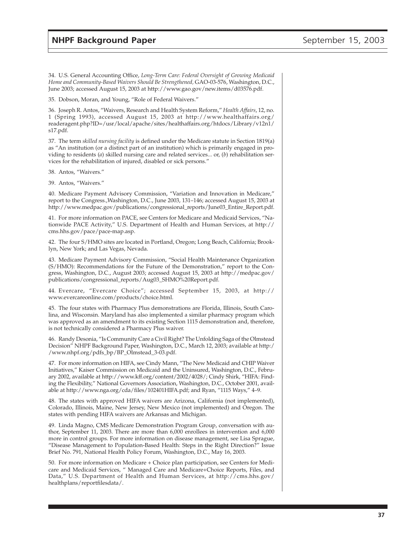34. U.S. General Accounting Office, *Long-Term Care: Federal Oversight of Growing Medicaid Home and Community-Based Waivers Should Be Strengthened,* GAO-03-576, Washington, D.C., June 2003; accessed August 15, 2003 at http://www.gao.gov/new.items/d03576.pdf.

35. Dobson, Moran, and Young, "Role of Federal Waivers."

36. Joseph R. Antos, "Waivers, Research and Health System Reform," *Health Affairs*, 12, no. 1 (Spring 1993), accessed August 15, 2003 at http://www.healthaffairs.org/ readeragent.php?ID=/usr/local/apache/sites/healthaffairs.org/htdocs/Library/v12n1/ s17.pdf.

37. The term *skilled nursing facility* is defined under the Medicare statute in Section 1819(a) as "An institution (or a distinct part of an institution) which is primarily engaged in providing to residents (*a*) skilled nursing care and related services... or, (*b*) rehabilitation services for the rehabilitation of injured, disabled or sick persons."

38. Antos, "Waivers."

39. Antos, "Waivers."

40. Medicare Payment Advisory Commission, "Variation and Innovation in Medicare," report to the Congress.,Washington, D.C., June 2003, 131–146; accessed August 15, 2003 at http://www.medpac.gov/publications/congressional\_reports/June03\_Entire\_Report.pdf.

41. For more information on PACE, see Centers for Medicare and Medicaid Services, "Nationwide PACE Activity," U.S. Department of Health and Human Services, at http:// cms.hhs.gov/pace/pace-map.asp.

42. The four S/HMO sites are located in Portland, Oregon; Long Beach, California; Brooklyn, New York; and Las Vegas, Nevada.

43. Medicare Payment Advisory Commission, "Social Health Maintenance Organization (S/HMO): Recommendations for the Future of the Demonstration," report to the Congress, Washington, D.C., August 2003; accessed August 15, 2003 at http://medpac.gov/ publications/congressional\_reports/Aug03\_SHMO%20Report.pdf.

44. Evercare, "Evercare Choice"; accessed September 15, 2003, at http:// www.evercareonline.com/products/choice.html.

45. The four states with Pharmacy Plus demonstrations are Florida, Illinois, South Carolina, and Wisconsin. Maryland has also implemented a similar pharmacy program which was approved as an amendment to its existing Section 1115 demonstration and, therefore, is not technically considered a Pharmacy Plus waiver.

46. Randy Desonia, "Is Community Care a Civil Right? The Unfolding Saga of the Olmstead Decision" NHPF Background Paper, Washington, D.C., March 12, 2003; available at http:/ /www.nhpf.org/pdfs\_bp/BP\_Olmstead\_3-03.pdf.

47. For more information on HIFA, see Cindy Mann, "The New Medicaid and CHIP Waiver Initiatives," Kaiser Commission on Medicaid and the Uninsured, Washington, D.C., February 2002, available at http://www.kff.org/content/2002/4028/; Cindy Shirk, "HIFA: Finding the Flexibility," National Governors Association, Washington, D.C., October 2001, available at http://www.nga.org/cda/files/102401HIFA.pdf; and Ryan, "1115 Ways," 4–9.

48. The states with approved HIFA waivers are Arizona, California (not implemented), Colorado, Illinois, Maine, New Jersey, New Mexico (not implemented) and Oregon. The states with pending HIFA waivers are Arkansas and Michigan.

49. Linda Magno, CMS Medicare Demonstration Program Group, conversation with author, September 11, 2003. There are more than 6,000 enrollees in intervention and 6,000 more in control groups. For more information on disease management, see Lisa Sprague, "Disease Management to Population-Based Health: Steps in the Right Direction?" Issue Brief No. 791, National Health Policy Forum, Washington, D.C., May 16, 2003.

50. For more information on Medicare + Choice plan participation, see Centers for Medicare and Medicaid Services, " Managed Care and Medicare+Choice Reports, Files, and Data," U.S. Department of Health and Human Services, at http://cms.hhs.gov/ healthplans/reportfilesdata/.